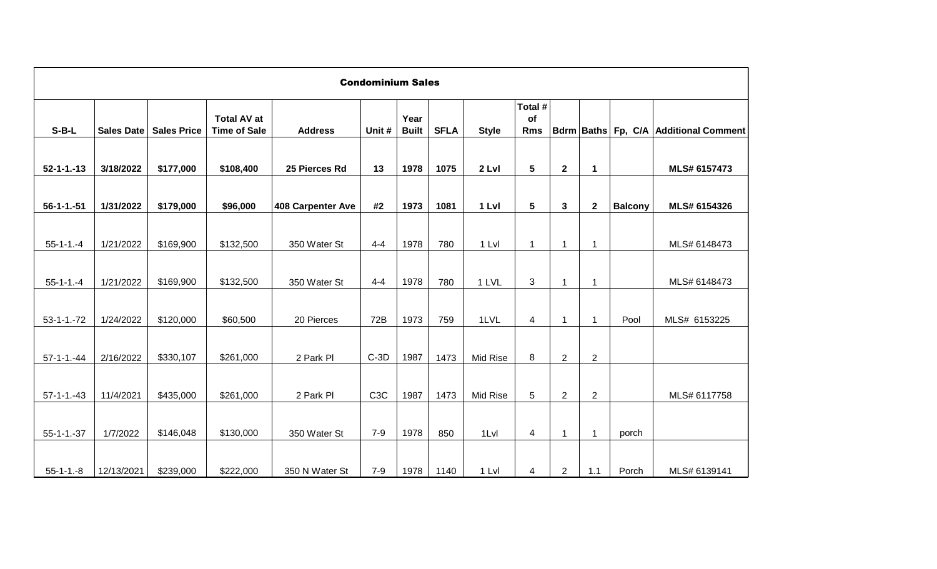|                   |            |                    |                                           |                          | <b>Condominium Sales</b> |                      |             |              |                             |                |                         |                |                                       |
|-------------------|------------|--------------------|-------------------------------------------|--------------------------|--------------------------|----------------------|-------------|--------------|-----------------------------|----------------|-------------------------|----------------|---------------------------------------|
| $S-B-L$           | Sales Date | <b>Sales Price</b> | <b>Total AV at</b><br><b>Time of Sale</b> | <b>Address</b>           | Unit #                   | Year<br><b>Built</b> | <b>SFLA</b> | <b>Style</b> | Total #<br>of<br><b>Rms</b> |                |                         |                | Bdrm Baths Fp, C/A Additional Comment |
| $52 - 1 - 1 - 13$ | 3/18/2022  | \$177,000          | \$108,400                                 | 25 Pierces Rd            | 13                       | 1978                 | 1075        | 2 LvI        | $5\phantom{.0}$             | $\mathbf 2$    | 1                       |                | MLS# 6157473                          |
| $56 - 1 - 1 - 51$ | 1/31/2022  | \$179,000          | \$96,000                                  | <b>408 Carpenter Ave</b> | #2                       | 1973                 | 1081        | 1 LvI        | $5\phantom{.0}$             | 3              | $\overline{2}$          | <b>Balcony</b> | MLS# 6154326                          |
| $55 - 1 - 1 - 4$  | 1/21/2022  | \$169,900          | \$132,500                                 | 350 Water St             | $4 - 4$                  | 1978                 | 780         | 1 Lvl        | $\mathbf{1}$                | $\mathbf{1}$   | -1                      |                | MLS# 6148473                          |
| $55 - 1 - 1 - 4$  | 1/21/2022  | \$169,900          | \$132,500                                 | 350 Water St             | $4 - 4$                  | 1978                 | 780         | 1 LVL        | 3                           | $\mathbf{1}$   | -1                      |                | MLS# 6148473                          |
| $53 - 1 - 1 - 72$ | 1/24/2022  | \$120,000          | \$60,500                                  | 20 Pierces               | 72B                      | 1973                 | 759         | 1LVL         | 4                           | 1              | $\overline{\mathbf{1}}$ | Pool           | MLS# 6153225                          |
| $57 - 1 - 1 - 44$ | 2/16/2022  | \$330,107          | \$261,000                                 | 2 Park Pl                | $C-3D$                   | 1987                 | 1473        | Mid Rise     | 8                           | $\overline{2}$ | $\overline{2}$          |                |                                       |
| $57 - 1 - 1 - 43$ | 11/4/2021  | \$435,000          | \$261,000                                 | 2 Park Pl                | C <sub>3</sub> C         | 1987                 | 1473        | Mid Rise     | 5                           | $\overline{2}$ | $\overline{c}$          |                | MLS# 6117758                          |
|                   |            |                    |                                           |                          |                          |                      |             |              |                             |                |                         |                |                                       |
| $55 - 1 - 1 - 37$ | 1/7/2022   | \$146,048          | \$130,000                                 | 350 Water St             | $7-9$                    | 1978                 | 850         | 1Lvl         | 4                           | 1              | $\overline{\mathbf{1}}$ | porch          |                                       |
| $55 - 1 - 1 - 8$  | 12/13/2021 | \$239,000          | \$222,000                                 | 350 N Water St           | $7 - 9$                  | 1978                 | 1140        | 1 Lvl        | 4                           | $\overline{2}$ | 1.1                     | Porch          | MLS# 6139141                          |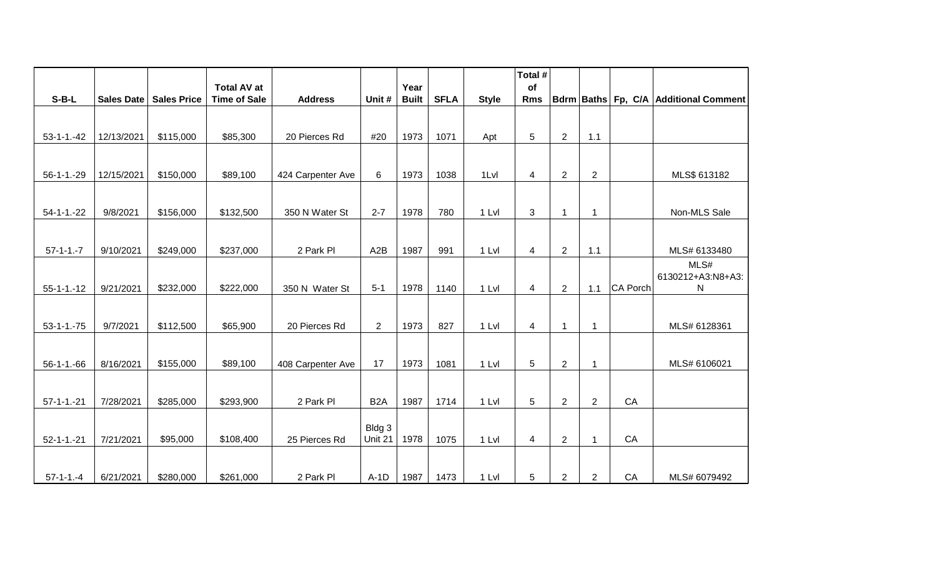|                   |            |                    | <b>Total AV at</b>  |                   |                  | Year         |             |              | Total #<br>of  |                |                |          |                                       |
|-------------------|------------|--------------------|---------------------|-------------------|------------------|--------------|-------------|--------------|----------------|----------------|----------------|----------|---------------------------------------|
| $S-B-L$           | Sales Date | <b>Sales Price</b> | <b>Time of Sale</b> | <b>Address</b>    | Unit #           | <b>Built</b> | <b>SFLA</b> | <b>Style</b> | <b>Rms</b>     |                |                |          | Bdrm Baths Fp, C/A Additional Comment |
|                   |            |                    |                     |                   |                  |              |             |              |                |                |                |          |                                       |
|                   |            |                    |                     |                   |                  |              |             |              |                |                |                |          |                                       |
| $53 - 1 - 1 - 42$ | 12/13/2021 | \$115,000          | \$85,300            | 20 Pierces Rd     | #20              | 1973         | 1071        | Apt          | 5              | $\overline{2}$ | $1.1$          |          |                                       |
|                   |            |                    |                     |                   |                  |              |             |              |                |                |                |          |                                       |
| $56 - 1 - 1 - 29$ | 12/15/2021 | \$150,000          | \$89,100            | 424 Carpenter Ave | 6                | 1973         | 1038        | 1Lvl         | $\overline{4}$ | $\overline{2}$ | $\overline{2}$ |          | MLS\$ 613182                          |
|                   |            |                    |                     |                   |                  |              |             |              |                |                |                |          |                                       |
| $54 - 1 - 22$     | 9/8/2021   | \$156,000          | \$132,500           | 350 N Water St    | $2 - 7$          | 1978         | 780         | 1 Lvl        | 3              | 1              | $\mathbf 1$    |          | Non-MLS Sale                          |
|                   |            |                    |                     |                   |                  |              |             |              |                |                |                |          |                                       |
|                   |            |                    |                     |                   |                  |              |             |              |                |                |                |          |                                       |
| $57 - 1 - 1 - 7$  | 9/10/2021  | \$249,000          | \$237,000           | 2 Park Pl         | A2B              | 1987         | 991         | 1 Lvl        | $\overline{4}$ | $\overline{2}$ | 1.1            |          | MLS# 6133480                          |
|                   |            |                    |                     |                   |                  |              |             |              |                |                |                |          | MLS#                                  |
| $55 - 1 - 1 - 12$ | 9/21/2021  | \$232,000          | \$222,000           | 350 N Water St    | $5 - 1$          | 1978         | 1140        | 1 Lvl        | 4              | $\overline{2}$ | 1.1            | CA Porch | 6130212+A3:N8+A3:<br>N                |
|                   |            |                    |                     |                   |                  |              |             |              |                |                |                |          |                                       |
|                   |            |                    |                     |                   |                  |              |             |              |                |                |                |          |                                       |
| $53 - 1 - 1 - 75$ | 9/7/2021   | \$112,500          | \$65,900            | 20 Pierces Rd     | $\overline{2}$   | 1973         | 827         | 1 Lvl        | 4              | 1              | $\mathbf{1}$   |          | MLS# 6128361                          |
|                   |            |                    |                     |                   |                  |              |             |              |                |                |                |          |                                       |
| $56 - 1 - 1 - 66$ | 8/16/2021  | \$155,000          | \$89,100            | 408 Carpenter Ave | 17               | 1973         | 1081        | 1 Lvl        | 5              | $\overline{2}$ | $\mathbf 1$    |          | MLS# 6106021                          |
|                   |            |                    |                     |                   |                  |              |             |              |                |                |                |          |                                       |
|                   |            |                    |                     |                   |                  |              |             |              |                |                |                |          |                                       |
| $57 - 1 - 1 - 21$ | 7/28/2021  | \$285,000          | \$293,900           | 2 Park Pl         | B <sub>2</sub> A | 1987         | 1714        | 1 Lvl        | 5              | $\overline{2}$ | $\overline{2}$ | CA       |                                       |
|                   |            |                    |                     |                   | Bldg 3           |              |             |              |                |                |                |          |                                       |
| $52 - 1 - 1 - 21$ | 7/21/2021  | \$95,000           | \$108,400           | 25 Pierces Rd     | Unit 21          | 1978         | 1075        | 1 Lvl        | 4              | $\overline{2}$ | $\mathbf{1}$   | CA       |                                       |
|                   |            |                    |                     |                   |                  |              |             |              |                |                |                |          |                                       |
|                   |            |                    |                     |                   |                  |              |             |              |                |                |                |          |                                       |
| $57-1-1.-4$       | 6/21/2021  | \$280,000          | \$261,000           | 2 Park Pl         | $A-1D$           | 1987         | 1473        | 1 Lvl        | 5              | $\overline{2}$ | $\overline{2}$ | CA       | MLS# 6079492                          |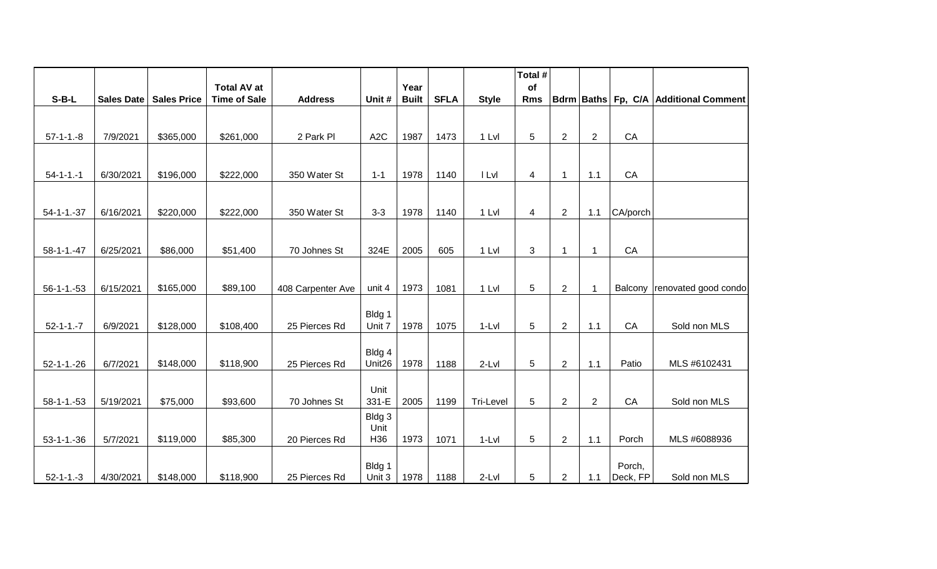|                   |            |                    |                                           |                   |                  |                      |             |              | Total #          |                |                |          |                                       |
|-------------------|------------|--------------------|-------------------------------------------|-------------------|------------------|----------------------|-------------|--------------|------------------|----------------|----------------|----------|---------------------------------------|
| $S-B-L$           | Sales Date | <b>Sales Price</b> | <b>Total AV at</b><br><b>Time of Sale</b> | <b>Address</b>    | Unit #           | Year<br><b>Built</b> | <b>SFLA</b> | <b>Style</b> | of<br><b>Rms</b> |                |                |          | Bdrm Baths Fp, C/A Additional Comment |
|                   |            |                    |                                           |                   |                  |                      |             |              |                  |                |                |          |                                       |
|                   |            |                    |                                           |                   |                  |                      |             |              |                  |                |                |          |                                       |
| $57-1-1.-8$       | 7/9/2021   | \$365,000          | \$261,000                                 | 2 Park Pl         | A <sub>2</sub> C | 1987                 | 1473        | 1 Lvl        | 5                | $\overline{2}$ | $\overline{2}$ | CA       |                                       |
|                   |            |                    |                                           |                   |                  |                      |             |              |                  |                |                |          |                                       |
| $54 - 1 - 1 - 1$  | 6/30/2021  | \$196,000          | \$222,000                                 | 350 Water St      | $1 - 1$          | 1978                 | 1140        | I LvI        | 4                | $\mathbf{1}$   | 1.1            | CA       |                                       |
|                   |            |                    |                                           |                   |                  |                      |             |              |                  |                |                |          |                                       |
| $54 - 1 - 1 - 37$ | 6/16/2021  | \$220,000          | \$222,000                                 | 350 Water St      | $3 - 3$          | 1978                 | 1140        | 1 Lvl        | 4                | $\overline{2}$ | 1.1            | CA/porch |                                       |
|                   |            |                    |                                           |                   |                  |                      |             |              |                  |                |                |          |                                       |
| $58 - 1 - 1 - 47$ | 6/25/2021  | \$86,000           | \$51,400                                  | 70 Johnes St      | 324E             | 2005                 | 605         | 1 Lvl        | 3                | $\mathbf{1}$   | $\mathbf{1}$   | CA       |                                       |
|                   |            |                    |                                           |                   |                  |                      |             |              |                  |                |                |          |                                       |
|                   |            |                    |                                           |                   |                  |                      |             |              |                  |                |                |          |                                       |
| $56 - 1 - 1 - 53$ | 6/15/2021  | \$165,000          | \$89,100                                  | 408 Carpenter Ave | unit 4           | 1973                 | 1081        | 1 Lvl        | 5                | $\overline{2}$ | 1              | Balcony  | renovated good condo                  |
|                   |            |                    |                                           |                   |                  |                      |             |              |                  |                |                |          |                                       |
| $52 - 1 - 1 - 7$  | 6/9/2021   | \$128,000          | \$108,400                                 | 25 Pierces Rd     | Bldg 1<br>Unit 7 | 1978                 | 1075        | $1-Lvl$      | 5                | $\mathbf{2}$   | 1.1            | CA       | Sold non MLS                          |
|                   |            |                    |                                           |                   |                  |                      |             |              |                  |                |                |          |                                       |
|                   |            |                    |                                           |                   | Bldg 4           |                      |             |              |                  |                |                |          |                                       |
| $52 - 1 - 1 - 26$ | 6/7/2021   | \$148,000          | \$118,900                                 | 25 Pierces Rd     | Unit26           | 1978                 | 1188        | 2-Lvl        | 5                | $\overline{2}$ | 1.1            | Patio    | MLS #6102431                          |
|                   |            |                    |                                           |                   | Unit             |                      |             |              |                  |                |                |          |                                       |
| $58 - 1 - 1 - 53$ | 5/19/2021  | \$75,000           | \$93,600                                  | 70 Johnes St      | 331-E            | 2005                 | 1199        | Tri-Level    | 5                | $\overline{2}$ | $\overline{2}$ | CA       | Sold non MLS                          |
|                   |            |                    |                                           |                   | Bldg 3           |                      |             |              |                  |                |                |          |                                       |
| $53 - 1 - 1 - 36$ | 5/7/2021   | \$119,000          | \$85,300                                  | 20 Pierces Rd     | Unit<br>H36      | 1973                 | 1071        | $1-Lvl$      | 5                | $\overline{2}$ | 1.1            | Porch    | MLS #6088936                          |
|                   |            |                    |                                           |                   |                  |                      |             |              |                  |                |                |          |                                       |
|                   |            |                    |                                           |                   | Bldg 1           |                      |             |              |                  |                |                | Porch,   |                                       |
| $52 - 1 - 1 - 3$  | 4/30/2021  | \$148,000          | \$118,900                                 | 25 Pierces Rd     | Unit 3           | 1978                 | 1188        | $2-Lvl$      | 5                | $\overline{2}$ | 1.1            | Deck, FP | Sold non MLS                          |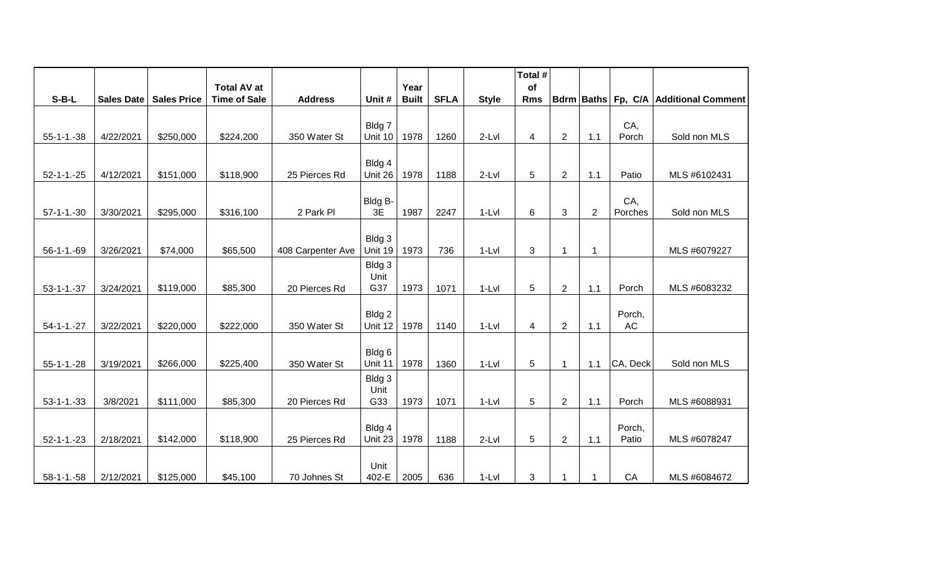|                   |                   |                    |                                           |                   |                |                      |             |              | Total #          |                |                |           |                                       |
|-------------------|-------------------|--------------------|-------------------------------------------|-------------------|----------------|----------------------|-------------|--------------|------------------|----------------|----------------|-----------|---------------------------------------|
| $S-B-L$           | <b>Sales Date</b> | <b>Sales Price</b> | <b>Total AV at</b><br><b>Time of Sale</b> | <b>Address</b>    | Unit #         | Year<br><b>Built</b> | <b>SFLA</b> | <b>Style</b> | of<br><b>Rms</b> |                |                |           | Bdrm Baths Fp, C/A Additional Comment |
|                   |                   |                    |                                           |                   |                |                      |             |              |                  |                |                |           |                                       |
|                   |                   |                    |                                           |                   | Bldg 7         |                      |             |              |                  |                |                | CA,       |                                       |
| $55 - 1 - 1 - 38$ | 4/22/2021         | \$250,000          | \$224,200                                 | 350 Water St      | Unit 10        | 1978                 | 1260        | $2-Lvl$      | 4                | $\overline{2}$ | 1.1            | Porch     | Sold non MLS                          |
|                   |                   |                    |                                           |                   | Bldg 4         |                      |             |              |                  |                |                |           |                                       |
| $52 - 1 - 1 - 25$ | 4/12/2021         | \$151,000          | \$118,900                                 | 25 Pierces Rd     | Unit 26        | 1978                 | 1188        | $2-Lvl$      | 5                | $\overline{2}$ | 1.1            | Patio     | MLS #6102431                          |
|                   |                   |                    |                                           |                   |                |                      |             |              |                  |                |                |           |                                       |
|                   |                   |                    |                                           |                   | Bldg B-<br>3E  |                      |             |              |                  |                |                | CA,       |                                       |
| $57-1-1.-30$      | 3/30/2021         | \$295,000          | \$316,100                                 | 2 Park PI         |                | 1987                 | 2247        | $1-Lvl$      | 6                | 3              | $\overline{2}$ | Porches   | Sold non MLS                          |
|                   |                   |                    |                                           |                   | Bldg 3         |                      |             |              |                  |                |                |           |                                       |
| $56 - 1 - 1 - 69$ | 3/26/2021         | \$74,000           | \$65,500                                  | 408 Carpenter Ave | Unit 19        | 1973                 | 736         | $1-Lvl$      | 3                | 1              | $\mathbf 1$    |           | MLS #6079227                          |
|                   |                   |                    |                                           |                   | Bldg 3         |                      |             |              |                  |                |                |           |                                       |
|                   |                   |                    |                                           |                   | Unit           |                      |             |              |                  |                |                |           |                                       |
| $53 - 1 - 1 - 37$ | 3/24/2021         | \$119,000          | \$85,300                                  | 20 Pierces Rd     | G37            | 1973                 | 1071        | $1-Lvl$      | $\overline{5}$   | $\overline{2}$ | 1.1            | Porch     | MLS #6083232                          |
|                   |                   |                    |                                           |                   | Bldg 2         |                      |             |              |                  |                |                | Porch,    |                                       |
| $54 - 1 - 1 - 27$ | 3/22/2021         | \$220,000          | \$222,000                                 | 350 Water St      | Unit 12        | 1978                 | 1140        | $1-Lvl$      | 4                | $\overline{2}$ | 1.1            | <b>AC</b> |                                       |
|                   |                   |                    |                                           |                   |                |                      |             |              |                  |                |                |           |                                       |
|                   |                   |                    |                                           |                   | Bldg 6         |                      |             |              |                  |                |                |           |                                       |
| $55-1-1.-28$      | 3/19/2021         | \$266,000          | \$225,400                                 | 350 Water St      | Unit 11        | 1978                 | 1360        | $1-Lvl$      | 5                | 1              | 1.1            | CA, Deck  | Sold non MLS                          |
|                   |                   |                    |                                           |                   | Bldg 3<br>Unit |                      |             |              |                  |                |                |           |                                       |
| $53 - 1 - 1 - 33$ | 3/8/2021          | \$111,000          | \$85,300                                  | 20 Pierces Rd     | G33            | 1973                 | 1071        | $1-Lvl$      | 5                | $\overline{2}$ | 1.1            | Porch     | MLS #6088931                          |
|                   |                   |                    |                                           |                   |                |                      |             |              |                  |                |                |           |                                       |
|                   |                   |                    |                                           |                   | Bldg 4         |                      |             |              |                  |                |                | Porch,    |                                       |
| $52 - 1 - 1 - 23$ | 2/18/2021         | \$142,000          | \$118,900                                 | 25 Pierces Rd     | Unit 23        | 1978                 | 1188        | $2-Lvl$      | 5                | $\overline{2}$ | 1.1            | Patio     | MLS #6078247                          |
|                   |                   |                    |                                           |                   | Unit           |                      |             |              |                  |                |                |           |                                       |
| $58-1-1.-58$      | 2/12/2021         | \$125,000          | \$45,100                                  | 70 Johnes St      | 402-E          | 2005                 | 636         | $1-Lvl$      | 3                | 1              |                | CA        | MLS #6084672                          |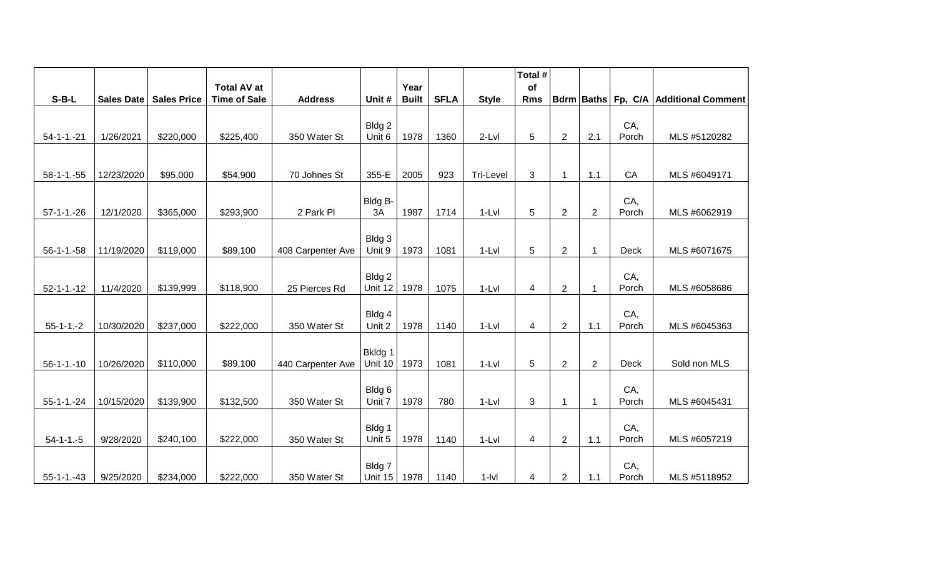|                   |                   |                    |                                           |                   |                    |                      |             |              | Total #          |                |                |              |                                       |
|-------------------|-------------------|--------------------|-------------------------------------------|-------------------|--------------------|----------------------|-------------|--------------|------------------|----------------|----------------|--------------|---------------------------------------|
| $S-B-L$           | <b>Sales Date</b> | <b>Sales Price</b> | <b>Total AV at</b><br><b>Time of Sale</b> | <b>Address</b>    | Unit #             | Year<br><b>Built</b> | <b>SFLA</b> | <b>Style</b> | of<br><b>Rms</b> |                |                |              | Bdrm Baths Fp, C/A Additional Comment |
|                   |                   |                    |                                           |                   |                    |                      |             |              |                  |                |                |              |                                       |
|                   |                   |                    |                                           |                   | Bldg 2             |                      |             |              |                  |                |                | CA,          |                                       |
| $54 - 1 - 1 - 21$ | 1/26/2021         | \$220,000          | \$225,400                                 | 350 Water St      | Unit 6             | 1978                 | 1360        | 2-Lvl        | 5                | $\overline{2}$ | 2.1            | Porch        | MLS #5120282                          |
|                   |                   |                    |                                           |                   |                    |                      |             |              |                  |                |                |              |                                       |
| $58-1-1.-55$      | 12/23/2020        | \$95,000           | \$54,900                                  | 70 Johnes St      | 355-E              | 2005                 | 923         | Tri-Level    | 3                | $\mathbf 1$    | 1.1            | CA           | MLS #6049171                          |
|                   |                   |                    |                                           |                   |                    |                      |             |              |                  |                |                |              |                                       |
|                   |                   |                    |                                           |                   | Bldg B-            |                      |             |              |                  |                |                | CA,          |                                       |
| $57-1-1.-26$      | 12/1/2020         | \$365,000          | \$293,900                                 | 2 Park Pl         | 3A                 | 1987                 | 1714        | $1-Lvl$      | 5                | $\overline{2}$ | $\overline{2}$ | Porch        | MLS #6062919                          |
|                   |                   |                    |                                           |                   | Bldg 3             |                      |             |              |                  |                |                |              |                                       |
| $56-1-1.-58$      | 11/19/2020        | \$119,000          | \$89,100                                  | 408 Carpenter Ave | Unit 9             | 1973                 | 1081        | $1-Lvl$      | 5                | $\overline{2}$ | $\overline{1}$ | Deck         | MLS #6071675                          |
|                   |                   |                    |                                           |                   |                    |                      |             |              |                  |                |                |              |                                       |
|                   | 11/4/2020         | \$139,999          | \$118,900                                 | 25 Pierces Rd     | Bldg 2<br>Unit 12  | 1978                 | 1075        | $1-Lvl$      |                  |                |                | CA,<br>Porch | MLS #6058686                          |
| $52 - 1 - 1 - 12$ |                   |                    |                                           |                   |                    |                      |             |              | 4                | $\overline{2}$ | -1             |              |                                       |
|                   |                   |                    |                                           |                   | Bldg 4             |                      |             |              |                  |                |                | CA,          |                                       |
| $55-1-1.-2$       | 10/30/2020        | \$237,000          | \$222,000                                 | 350 Water St      | Unit 2             | 1978                 | 1140        | $1-Lvl$      | 4                | $\overline{2}$ | 1.1            | Porch        | MLS #6045363                          |
|                   |                   |                    |                                           |                   |                    |                      |             |              |                  |                |                |              |                                       |
| $56 - 1 - 1 - 10$ | 10/26/2020        | \$110,000          | \$89,100                                  | 440 Carpenter Ave | Bkldg 1<br>Unit 10 | 1973                 | 1081        | $1-Lvl$      | 5                | $\overline{2}$ | $\overline{2}$ | <b>Deck</b>  | Sold non MLS                          |
|                   |                   |                    |                                           |                   |                    |                      |             |              |                  |                |                |              |                                       |
|                   |                   |                    |                                           |                   | Bldg 6             |                      |             |              |                  |                |                | CA,          |                                       |
| $55 - 1 - 1 - 24$ | 10/15/2020        | \$139,900          | \$132,500                                 | 350 Water St      | Unit 7             | 1978                 | 780         | $1-Lvl$      | 3                | $\mathbf{1}$   | -1             | Porch        | MLS #6045431                          |
|                   |                   |                    |                                           |                   |                    |                      |             |              |                  |                |                |              |                                       |
| $54 - 1 - 1 - 5$  | 9/28/2020         | \$240,100          | \$222,000                                 | 350 Water St      | Bldg 1<br>Unit 5   | 1978                 | 1140        | $1-Lvl$      | 4                | $\overline{2}$ | 1.1            | CA,<br>Porch | MLS #6057219                          |
|                   |                   |                    |                                           |                   |                    |                      |             |              |                  |                |                |              |                                       |
|                   |                   |                    |                                           |                   | Bldg 7             |                      |             |              |                  |                |                | CA,          |                                       |
| $55 - 1 - 1 - 43$ | 9/25/2020         | \$234,000          | \$222,000                                 | 350 Water St      | Unit 15            | 1978                 | 1140        | $1 -  V $    | 4                | $\overline{2}$ | 1.1            | Porch        | MLS #5118952                          |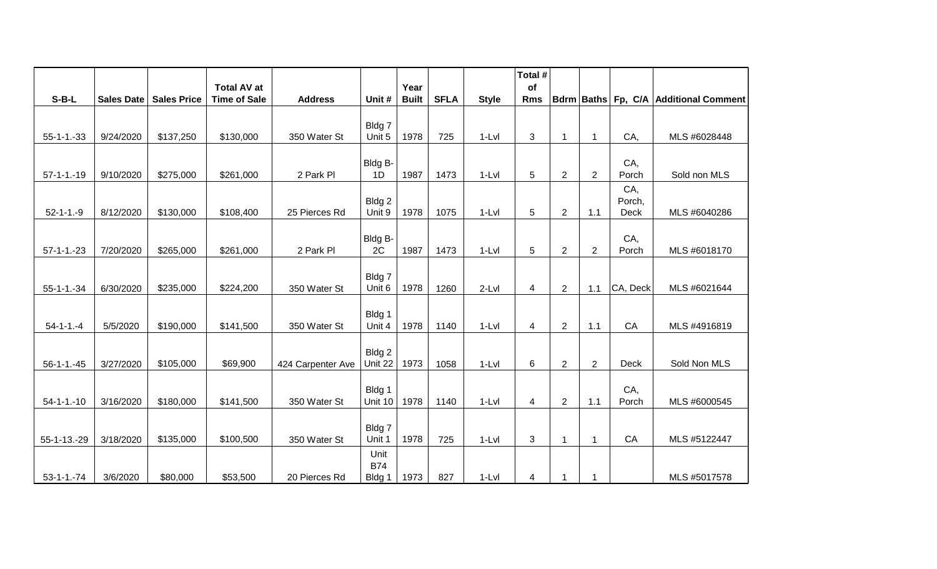|                   |                   |                    |                                           |                   |                      |                      |             |              | Total #          |                |                |              |                                       |
|-------------------|-------------------|--------------------|-------------------------------------------|-------------------|----------------------|----------------------|-------------|--------------|------------------|----------------|----------------|--------------|---------------------------------------|
| $S-B-L$           | <b>Sales Date</b> | <b>Sales Price</b> | <b>Total AV at</b><br><b>Time of Sale</b> | <b>Address</b>    | Unit #               | Year<br><b>Built</b> | <b>SFLA</b> | <b>Style</b> | of<br><b>Rms</b> |                |                |              | Bdrm Baths Fp, C/A Additional Comment |
|                   |                   |                    |                                           |                   |                      |                      |             |              |                  |                |                |              |                                       |
|                   |                   |                    |                                           |                   | Bldg 7               |                      |             |              |                  |                |                |              |                                       |
| $55 - 1 - 1 - 33$ | 9/24/2020         | \$137,250          | \$130,000                                 | 350 Water St      | Unit 5               | 1978                 | 725         | $1-Lvl$      | 3                | 1              | 1              | CA,          | MLS #6028448                          |
|                   |                   |                    |                                           |                   | Bldg B-              |                      |             |              |                  |                |                | CA,          |                                       |
| $57-1-1-19$       | 9/10/2020         | \$275,000          | \$261,000                                 | 2 Park Pl         | 1D                   | 1987                 | 1473        | $1-Lvl$      | 5                | $\overline{2}$ | $\overline{2}$ | Porch        | Sold non MLS                          |
|                   |                   |                    |                                           |                   |                      |                      |             |              |                  |                |                | CA,          |                                       |
|                   |                   |                    |                                           |                   | Bldg 2               |                      |             |              |                  |                |                | Porch,       |                                       |
| $52 - 1 - 1 - 9$  | 8/12/2020         | \$130,000          | \$108,400                                 | 25 Pierces Rd     | Unit 9               | 1978                 | 1075        | $1-Lvl$      | 5                | $\overline{2}$ | 1.1            | Deck         | MLS #6040286                          |
|                   |                   |                    |                                           |                   | Bldg B-              |                      |             |              |                  |                |                | CA,          |                                       |
| $57 - 1 - 1 - 23$ | 7/20/2020         | \$265,000          | \$261,000                                 | 2 Park Pl         | 2C                   | 1987                 | 1473        | $1-Lvl$      | 5                | $\overline{2}$ | $\overline{2}$ | Porch        | MLS #6018170                          |
|                   |                   |                    |                                           |                   |                      |                      |             |              |                  |                |                |              |                                       |
|                   |                   |                    |                                           |                   | Bldg 7               |                      |             |              |                  |                |                |              |                                       |
| $55 - 1 - 1 - 34$ | 6/30/2020         | \$235,000          | \$224,200                                 | 350 Water St      | Unit 6               | 1978                 | 1260        | $2-Lvl$      | 4                | $\overline{2}$ | 1.1            | CA, Deck     | MLS #6021644                          |
|                   |                   |                    |                                           |                   |                      |                      |             |              |                  |                |                |              |                                       |
| $54 - 1 - 1 - 4$  | 5/5/2020          | \$190,000          | \$141,500                                 | 350 Water St      | Bldg 1<br>Unit 4     | 1978                 | 1140        | $1-Lvl$      | $\overline{4}$   | $\overline{2}$ | 1.1            | CA           | MLS #4916819                          |
|                   |                   |                    |                                           |                   |                      |                      |             |              |                  |                |                |              |                                       |
|                   |                   |                    |                                           |                   | Bldg 2               |                      |             |              |                  |                |                |              |                                       |
| $56 - 1 - 1 - 45$ | 3/27/2020         | \$105,000          | \$69,900                                  | 424 Carpenter Ave | Unit 22              | 1973                 | 1058        | $1-Lvl$      | 6                | $\overline{2}$ | $\overline{2}$ | Deck         | Sold Non MLS                          |
|                   |                   |                    |                                           |                   |                      |                      |             |              |                  |                |                |              |                                       |
| $54 - 1 - 1 - 10$ | 3/16/2020         | \$180,000          | \$141,500                                 | 350 Water St      | Bldg 1<br>Unit 10    | 1978                 | 1140        | $1-Lvl$      | $\overline{4}$   | $\overline{2}$ | 1.1            | CA,<br>Porch | MLS #6000545                          |
|                   |                   |                    |                                           |                   |                      |                      |             |              |                  |                |                |              |                                       |
|                   |                   |                    |                                           |                   | Bldg 7               |                      |             |              |                  |                |                |              |                                       |
| 55-1-13.-29       | 3/18/2020         | \$135,000          | \$100,500                                 | 350 Water St      | Unit 1               | 1978                 | 725         | $1-Lvl$      | 3                | 1              | $\mathbf{1}$   | CA           | MLS #5122447                          |
|                   |                   |                    |                                           |                   | Unit                 |                      |             |              |                  |                |                |              |                                       |
| $53 - 1 - 1 - 74$ | 3/6/2020          | \$80,000           | \$53,500                                  | 20 Pierces Rd     | <b>B74</b><br>Bldg 1 | 1973                 | 827         | $1-Lvl$      | 4                | $\mathbf 1$    | 1              |              | MLS #5017578                          |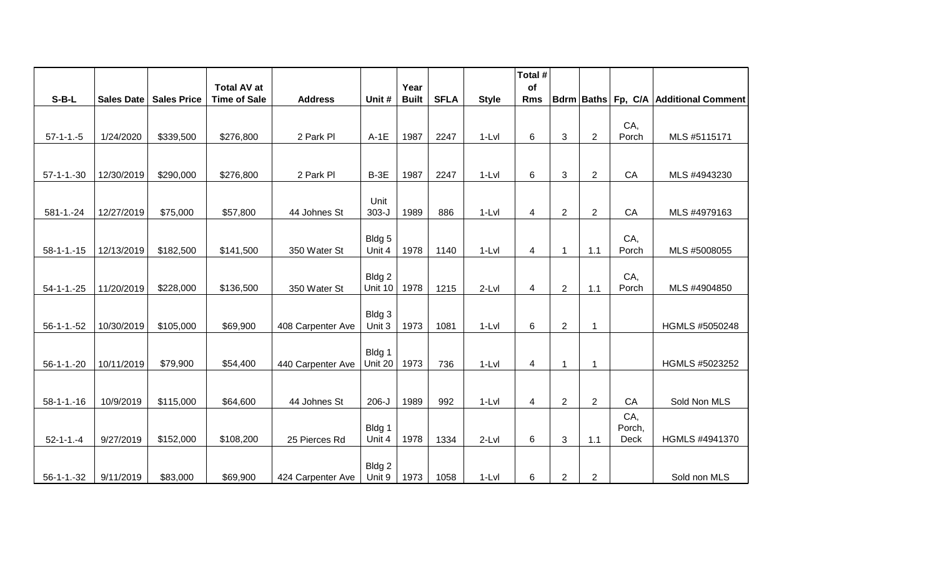|                   |                   |                    |                                           |                   |                  |                      |             |              | Total #          |                |                |             |                                       |
|-------------------|-------------------|--------------------|-------------------------------------------|-------------------|------------------|----------------------|-------------|--------------|------------------|----------------|----------------|-------------|---------------------------------------|
| $S-B-L$           | <b>Sales Date</b> | <b>Sales Price</b> | <b>Total AV at</b><br><b>Time of Sale</b> | <b>Address</b>    | Unit #           | Year<br><b>Built</b> | <b>SFLA</b> | <b>Style</b> | of<br><b>Rms</b> |                |                |             | Bdrm Baths Fp, C/A Additional Comment |
|                   |                   |                    |                                           |                   |                  |                      |             |              |                  |                |                |             |                                       |
|                   |                   |                    |                                           |                   |                  |                      |             |              |                  |                |                | CA,         |                                       |
| $57-1-1.-5$       | 1/24/2020         | \$339,500          | \$276,800                                 | 2 Park Pl         | $A-1E$           | 1987                 | 2247        | $1-Lvl$      | 6                | 3              | $\overline{2}$ | Porch       | MLS #5115171                          |
|                   |                   |                    |                                           |                   |                  |                      |             |              |                  |                |                |             |                                       |
| $57-1-1.-30$      | 12/30/2019        | \$290,000          | \$276,800                                 | 2 Park Pl         | $B-3E$           | 1987                 | 2247        | $1-Lvl$      | 6                | 3              | $\overline{2}$ | CA          | MLS #4943230                          |
|                   |                   |                    |                                           |                   |                  |                      |             |              |                  |                |                |             |                                       |
|                   |                   |                    |                                           |                   | Unit             |                      |             |              |                  |                |                |             |                                       |
| $581 - 1 - 24$    | 12/27/2019        | \$75,000           | \$57,800                                  | 44 Johnes St      | $303 - J$        | 1989                 | 886         | $1-Lvl$      | $\overline{4}$   | $\overline{2}$ | $\overline{2}$ | CA          | MLS #4979163                          |
|                   |                   |                    |                                           |                   | Bldg 5           |                      |             |              |                  |                |                | CA,         |                                       |
| $58 - 1 - 1 - 15$ | 12/13/2019        | \$182,500          | \$141,500                                 | 350 Water St      | Unit 4           | 1978                 | 1140        | $1-Lvl$      | $\overline{4}$   | $\mathbf{1}$   | 1.1            | Porch       | MLS #5008055                          |
|                   |                   |                    |                                           |                   |                  |                      |             |              |                  |                |                |             |                                       |
|                   |                   |                    |                                           |                   | Bldg 2           |                      |             |              |                  |                |                | CA,         |                                       |
| $54 - 1 - 25$     | 11/20/2019        | \$228,000          | \$136,500                                 | 350 Water St      | Unit 10          | 1978                 | 1215        | 2-Lvl        | 4                | $\overline{2}$ | 1.1            | Porch       | MLS #4904850                          |
|                   |                   |                    |                                           |                   |                  |                      |             |              |                  |                |                |             |                                       |
| $56 - 1 - 1 - 52$ | 10/30/2019        | \$105,000          | \$69,900                                  | 408 Carpenter Ave | Bldg 3<br>Unit 3 | 1973                 | 1081        | 1-Lvl        | 6                | $\overline{2}$ | -1             |             | HGMLS #5050248                        |
|                   |                   |                    |                                           |                   |                  |                      |             |              |                  |                |                |             |                                       |
|                   |                   |                    |                                           |                   | Bldg 1           |                      |             |              |                  |                |                |             |                                       |
| $56 - 1 - 1 - 20$ | 10/11/2019        | \$79,900           | \$54,400                                  | 440 Carpenter Ave | Unit 20          | 1973                 | 736         | $1-Lvl$      | 4                | $\mathbf{1}$   | -1             |             | HGMLS #5023252                        |
|                   |                   |                    |                                           |                   |                  |                      |             |              |                  |                |                |             |                                       |
| $58 - 1 - 1 - 16$ | 10/9/2019         | \$115,000          | \$64,600                                  | 44 Johnes St      | $206 - J$        | 1989                 | 992         | $1-Lvl$      | $\overline{4}$   | $\overline{2}$ | $\overline{2}$ | CA          | Sold Non MLS                          |
|                   |                   |                    |                                           |                   |                  |                      |             |              |                  |                |                | CA,         |                                       |
|                   |                   |                    |                                           |                   | Bldg 1           |                      |             |              |                  |                |                | Porch,      |                                       |
| $52 - 1 - 1 - 4$  | 9/27/2019         | \$152,000          | \$108,200                                 | 25 Pierces Rd     | Unit 4           | 1978                 | 1334        | $2-Lvl$      | 6                | 3              | 1.1            | <b>Deck</b> | HGMLS #4941370                        |
|                   |                   |                    |                                           |                   |                  |                      |             |              |                  |                |                |             |                                       |
| $56 - 1 - 1 - 32$ | 9/11/2019         | \$83,000           | \$69,900                                  | 424 Carpenter Ave | Bldg 2<br>Unit 9 | 1973                 | 1058        | $1-Lvl$      | 6                | $\overline{2}$ | $\overline{2}$ |             | Sold non MLS                          |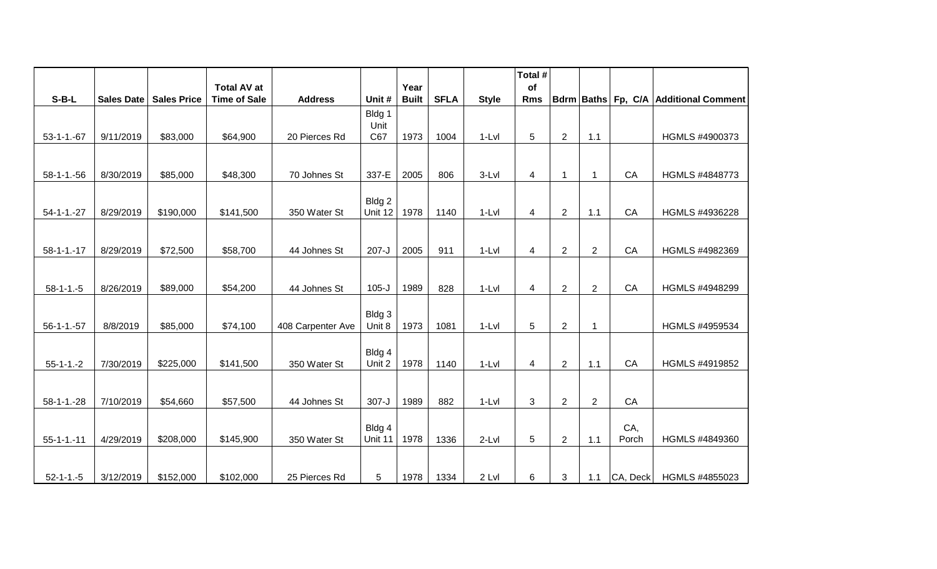|                   |            |                    |                                           |                   |                  |                      |             |              | Total #          |                |                |                     |                                       |
|-------------------|------------|--------------------|-------------------------------------------|-------------------|------------------|----------------------|-------------|--------------|------------------|----------------|----------------|---------------------|---------------------------------------|
| $S-B-L$           | Sales Date | <b>Sales Price</b> | <b>Total AV at</b><br><b>Time of Sale</b> | <b>Address</b>    | Unit #           | Year<br><b>Built</b> | <b>SFLA</b> | <b>Style</b> | of<br><b>Rms</b> |                |                |                     | Bdrm Baths Fp, C/A Additional Comment |
|                   |            |                    |                                           |                   | Bldg 1           |                      |             |              |                  |                |                |                     |                                       |
|                   |            |                    |                                           |                   | Unit             |                      |             |              |                  |                |                |                     |                                       |
| $53-1-1.-67$      | 9/11/2019  | \$83,000           | \$64,900                                  | 20 Pierces Rd     | C67              | 1973                 | 1004        | $1-Lvl$      | 5                | $\overline{2}$ | 1.1            |                     | HGMLS #4900373                        |
|                   |            |                    |                                           |                   |                  |                      |             |              |                  |                |                |                     |                                       |
|                   |            |                    |                                           |                   |                  |                      |             |              |                  |                |                |                     |                                       |
| $58 - 1 - 1 - 56$ | 8/30/2019  | \$85,000           | \$48,300                                  | 70 Johnes St      | 337-E            | 2005                 | 806         | 3-Lvl        | 4                | $\mathbf{1}$   | $\mathbf{1}$   | CA                  | HGMLS #4848773                        |
|                   |            |                    |                                           |                   | Bldg 2           |                      |             |              |                  |                |                |                     |                                       |
| $54 - 1 - 1 - 27$ | 8/29/2019  | \$190,000          | \$141,500                                 | 350 Water St      | Unit 12          | 1978                 | 1140        | $1-Lvl$      | 4                | $\overline{2}$ | 1.1            | CA                  | HGMLS #4936228                        |
|                   |            |                    |                                           |                   |                  |                      |             |              |                  |                |                |                     |                                       |
|                   |            |                    |                                           |                   |                  |                      |             |              |                  |                |                |                     |                                       |
| $58 - 1 - 1 - 17$ | 8/29/2019  | \$72,500           | \$58,700                                  | 44 Johnes St      | $207 - J$        | 2005                 | 911         | $1-Lvl$      | $\overline{4}$   | $\overline{2}$ | $\overline{2}$ | CA                  | HGMLS #4982369                        |
|                   |            |                    |                                           |                   |                  |                      |             |              |                  |                |                |                     |                                       |
| $58 - 1 - 1 - 5$  | 8/26/2019  | \$89,000           | \$54,200                                  | 44 Johnes St      | $105-J$          | 1989                 | 828         | $1-Lvl$      | 4                | $\overline{2}$ | $\overline{2}$ | CA                  | HGMLS #4948299                        |
|                   |            |                    |                                           |                   |                  |                      |             |              |                  |                |                |                     |                                       |
|                   |            |                    |                                           |                   | Bldg 3           |                      |             |              |                  |                |                |                     |                                       |
| $56-1-1.-57$      | 8/8/2019   | \$85,000           | \$74,100                                  | 408 Carpenter Ave | Unit 8           | 1973                 | 1081        | $1-Lvl$      | 5                | $\overline{2}$ | 1              |                     | HGMLS #4959534                        |
|                   |            |                    |                                           |                   |                  |                      |             |              |                  |                |                |                     |                                       |
|                   |            | \$225,000          | \$141,500                                 | 350 Water St      | Bldg 4<br>Unit 2 | 1978                 | 1140        | $1-Lvl$      | 4                | $\overline{2}$ | 1.1            | CA                  | HGMLS #4919852                        |
| $55-1-1.-2$       | 7/30/2019  |                    |                                           |                   |                  |                      |             |              |                  |                |                |                     |                                       |
|                   |            |                    |                                           |                   |                  |                      |             |              |                  |                |                |                     |                                       |
| $58 - 1 - 1 - 28$ | 7/10/2019  | \$54,660           | \$57,500                                  | 44 Johnes St      | $307 - J$        | 1989                 | 882         | $1-Lvl$      | 3                | $\overline{2}$ | $\overline{2}$ | CA                  |                                       |
|                   |            |                    |                                           |                   |                  |                      |             |              |                  |                |                |                     |                                       |
|                   |            |                    |                                           |                   | Bldg 4           |                      |             |              |                  |                |                | CA,                 |                                       |
| $55 - 1 - 1 - 11$ | 4/29/2019  | \$208,000          | \$145,900                                 | 350 Water St      | Unit 11          | 1978                 | 1336        | $2-Lvl$      | 5                | $\overline{2}$ | 1.1            | Porch               | HGMLS #4849360                        |
|                   |            |                    |                                           |                   |                  |                      |             |              |                  |                |                |                     |                                       |
| $52 - 1 - 1 - 5$  | 3/12/2019  | \$152,000          | \$102,000                                 | 25 Pierces Rd     | 5                | 1978                 | 1334        | 2 Lvl        | 6                | 3              | 1.1            | $ CA, \text{Deck} $ | HGMLS #4855023                        |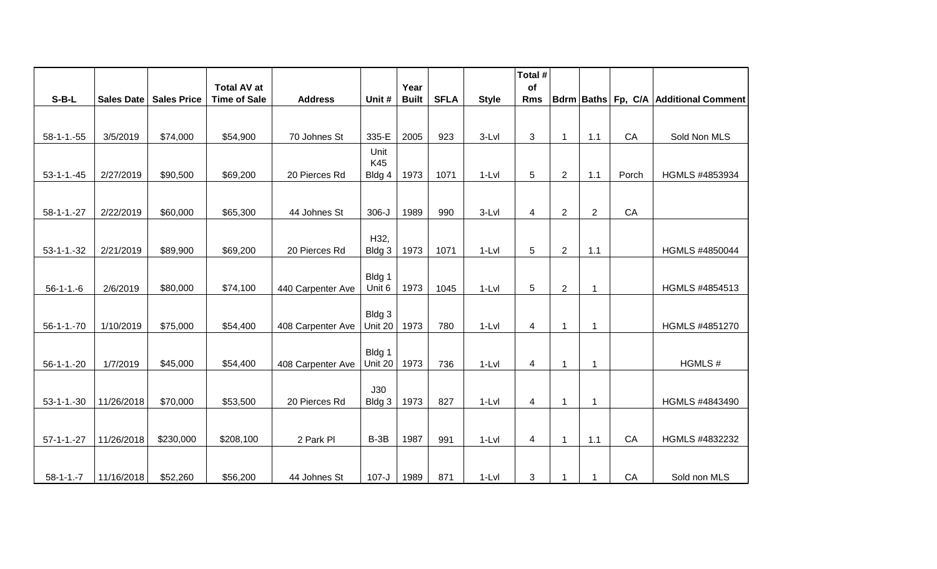|                   |            |                    |                                           |                   |                   |                      |             |              | Total #          |                |                |       |                                       |
|-------------------|------------|--------------------|-------------------------------------------|-------------------|-------------------|----------------------|-------------|--------------|------------------|----------------|----------------|-------|---------------------------------------|
| $S-B-L$           | Sales Date | <b>Sales Price</b> | <b>Total AV at</b><br><b>Time of Sale</b> | <b>Address</b>    | Unit #            | Year<br><b>Built</b> | <b>SFLA</b> | <b>Style</b> | of<br><b>Rms</b> |                |                |       | Bdrm Baths Fp, C/A Additional Comment |
|                   |            |                    |                                           |                   |                   |                      |             |              |                  |                |                |       |                                       |
|                   |            |                    |                                           |                   |                   |                      |             |              |                  |                |                |       |                                       |
| $58-1-1.-55$      | 3/5/2019   | \$74,000           | \$54,900                                  | 70 Johnes St      | 335-E             | 2005                 | 923         | 3-Lvl        | 3                | $\mathbf{1}$   | 1.1            | CA    | Sold Non MLS                          |
|                   |            |                    |                                           |                   | Unit<br>K45       |                      |             |              |                  |                |                |       |                                       |
| $53-1-1.-45$      | 2/27/2019  | \$90,500           | \$69,200                                  | 20 Pierces Rd     | Bldg 4            | 1973                 | 1071        | 1-Lvl        | 5                | $\overline{2}$ | 1.1            | Porch | HGMLS #4853934                        |
|                   |            |                    |                                           |                   |                   |                      |             |              |                  |                |                |       |                                       |
| $58 - 1 - 1 - 27$ | 2/22/2019  | \$60,000           | \$65,300                                  | 44 Johnes St      | $306 - J$         | 1989                 | 990         | 3-Lvl        | 4                | $\overline{2}$ | $\overline{2}$ | CA    |                                       |
|                   |            |                    |                                           |                   | H32,              |                      |             |              |                  |                |                |       |                                       |
| $53 - 1 - 1 - 32$ | 2/21/2019  | \$89,900           | \$69,200                                  | 20 Pierces Rd     | Bldg 3            | 1973                 | 1071        | $1-Lvl$      | 5                | $\overline{2}$ | 1.1            |       | HGMLS #4850044                        |
| $56 - 1 - 1 - 6$  | 2/6/2019   | \$80,000           | \$74,100                                  | 440 Carpenter Ave | Bldg 1<br>Unit 6  | 1973                 | 1045        | 1-Lvl        | $\sqrt{5}$       | $\overline{2}$ | $\mathbf 1$    |       | HGMLS #4854513                        |
|                   |            |                    |                                           |                   |                   |                      |             |              |                  |                |                |       |                                       |
| $56 - 1 - 1 - 70$ | 1/10/2019  | \$75,000           | \$54,400                                  | 408 Carpenter Ave | Bldg 3<br>Unit 20 | 1973                 | 780         | $1-Lvl$      | 4                | $\overline{1}$ | 1              |       | HGMLS #4851270                        |
| $56 - 1 - 1 - 20$ | 1/7/2019   | \$45,000           | \$54,400                                  | 408 Carpenter Ave | Bldg 1<br>Unit 20 | 1973                 | 736         | 1-Lvl        | $\overline{4}$   | $\mathbf{1}$   | $\mathbf 1$    |       | HGMLS#                                |
| $53 - 1 - 1 - 30$ | 11/26/2018 | \$70,000           | \$53,500                                  | 20 Pierces Rd     | J30<br>Bldg 3     | 1973                 | 827         | $1-Lvl$      | 4                | $\mathbf{1}$   | 1              |       | HGMLS #4843490                        |
|                   |            |                    |                                           |                   |                   |                      |             |              |                  |                |                |       |                                       |
| $57 - 1 - 1 - 27$ | 11/26/2018 | \$230,000          | \$208,100                                 | 2 Park Pl         | $B-3B$            | 1987                 | 991         | $1-Lvl$      | 4                | $\mathbf{1}$   | 1.1            | CA    | HGMLS #4832232                        |
|                   |            |                    |                                           |                   |                   |                      |             |              |                  |                |                |       |                                       |
| $58-1-1.-7$       | 11/16/2018 | \$52,260           | \$56,200                                  | 44 Johnes St      | $107-J$           | 1989                 | 871         | 1-Lvl        | 3                | $\mathbf{1}$   | 1              | CA    | Sold non MLS                          |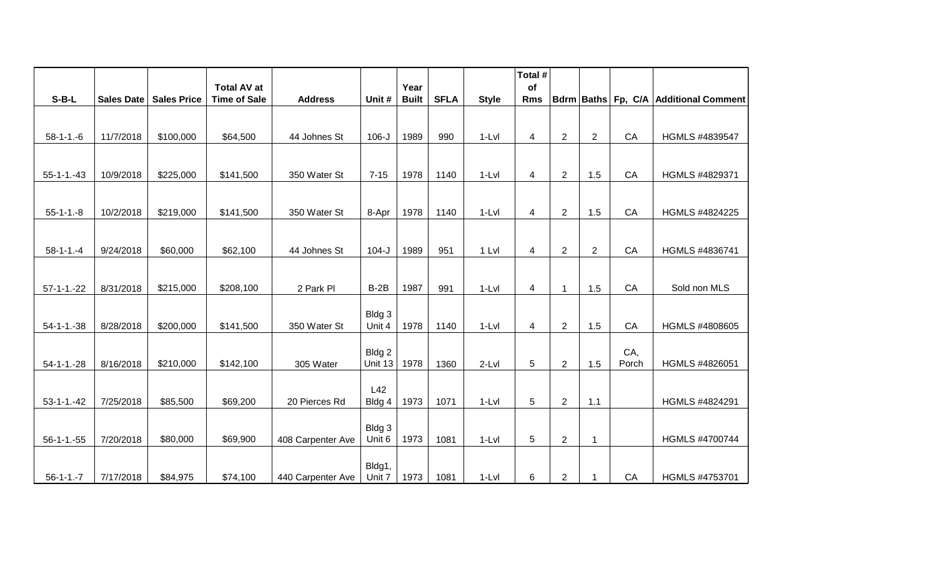|                   |                   |                    |                                           |                   |                  | Year         |             |              | Total #<br>of  |                |                |       |                                       |
|-------------------|-------------------|--------------------|-------------------------------------------|-------------------|------------------|--------------|-------------|--------------|----------------|----------------|----------------|-------|---------------------------------------|
| $S-B-L$           | <b>Sales Date</b> | <b>Sales Price</b> | <b>Total AV at</b><br><b>Time of Sale</b> | <b>Address</b>    | Unit #           | <b>Built</b> | <b>SFLA</b> | <b>Style</b> | <b>Rms</b>     |                |                |       | Bdrm Baths Fp, C/A Additional Comment |
|                   |                   |                    |                                           |                   |                  |              |             |              |                |                |                |       |                                       |
|                   |                   |                    |                                           |                   |                  |              |             |              |                |                |                |       |                                       |
| $58 - 1 - 1 - 6$  | 11/7/2018         | \$100,000          | \$64,500                                  | 44 Johnes St      | $106-J$          | 1989         | 990         | $1-Lvl$      | 4              | $\overline{2}$ | $\overline{2}$ | CA    | HGMLS #4839547                        |
|                   |                   |                    |                                           |                   |                  |              |             |              |                |                |                |       |                                       |
| $55 - 1 - 1 - 43$ | 10/9/2018         | \$225,000          | \$141,500                                 | 350 Water St      | $7 - 15$         | 1978         | 1140        | $1-Lvl$      | $\overline{4}$ | $\overline{2}$ | 1.5            | CA    | HGMLS #4829371                        |
|                   |                   |                    |                                           |                   |                  |              |             |              |                |                |                |       |                                       |
|                   |                   |                    |                                           |                   |                  |              |             |              |                |                |                |       |                                       |
| $55 - 1 - 1 - 8$  | 10/2/2018         | \$219,000          | \$141,500                                 | 350 Water St      | 8-Apr            | 1978         | 1140        | $1-Lvl$      | 4              | $\overline{2}$ | 1.5            | CA    | HGMLS #4824225                        |
|                   |                   |                    |                                           |                   |                  |              |             |              |                |                |                |       |                                       |
| $58 - 1 - 1 - 4$  | 9/24/2018         | \$60,000           | \$62,100                                  | 44 Johnes St      | $104 - J$        | 1989         | 951         | 1 Lvl        | $\overline{4}$ | $\overline{2}$ | 2              | CA    | HGMLS #4836741                        |
|                   |                   |                    |                                           |                   |                  |              |             |              |                |                |                |       |                                       |
|                   |                   |                    |                                           |                   |                  |              |             |              |                |                |                |       |                                       |
| $57 - 1 - 1 - 22$ | 8/31/2018         | \$215,000          | \$208,100                                 | 2 Park Pl         | $B-2B$           | 1987         | 991         | $1-Lvl$      | 4              | $\mathbf{1}$   | 1.5            | CA    | Sold non MLS                          |
|                   |                   |                    |                                           |                   |                  |              |             |              |                |                |                |       |                                       |
| $54 - 1 - 1 - 38$ | 8/28/2018         | \$200,000          | \$141,500                                 | 350 Water St      | Bldg 3<br>Unit 4 | 1978         | 1140        | $1-Lvl$      | 4              | $\overline{2}$ | 1.5            | CA    | HGMLS #4808605                        |
|                   |                   |                    |                                           |                   |                  |              |             |              |                |                |                |       |                                       |
|                   |                   |                    |                                           |                   | Bldg 2           |              |             |              |                |                |                | CA,   |                                       |
| $54 - 1 - 1 - 28$ | 8/16/2018         | \$210,000          | \$142,100                                 | 305 Water         | Unit 13          | 1978         | 1360        | $2-Lvl$      | 5              | $\overline{2}$ | 1.5            | Porch | HGMLS #4826051                        |
|                   |                   |                    |                                           |                   |                  |              |             |              |                |                |                |       |                                       |
| $53-1-1.-42$      | 7/25/2018         | \$85,500           | \$69,200                                  | 20 Pierces Rd     | L42<br>Bldg 4    | 1973         | 1071        | $1-Lvl$      | 5              | $\overline{2}$ | 1.1            |       | HGMLS #4824291                        |
|                   |                   |                    |                                           |                   |                  |              |             |              |                |                |                |       |                                       |
|                   |                   |                    |                                           |                   | Bldg 3           |              |             |              |                |                |                |       |                                       |
| $56 - 1 - 1 - 55$ | 7/20/2018         | \$80,000           | \$69,900                                  | 408 Carpenter Ave | Unit 6           | 1973         | 1081        | $1-Lvl$      | 5              | $\overline{2}$ | $\mathbf{1}$   |       | <b>HGMLS #4700744</b>                 |
|                   |                   |                    |                                           |                   |                  |              |             |              |                |                |                |       |                                       |
|                   |                   |                    |                                           |                   | Bldg1,           |              |             |              |                |                |                |       |                                       |
| $56 - 1 - 1 - 7$  | 7/17/2018         | \$84,975           | \$74,100                                  | 440 Carpenter Ave | Unit 7           | 1973         | 1081        | $1-Lvl$      | 6              | $\overline{2}$ | 1              | CA    | HGMLS #4753701                        |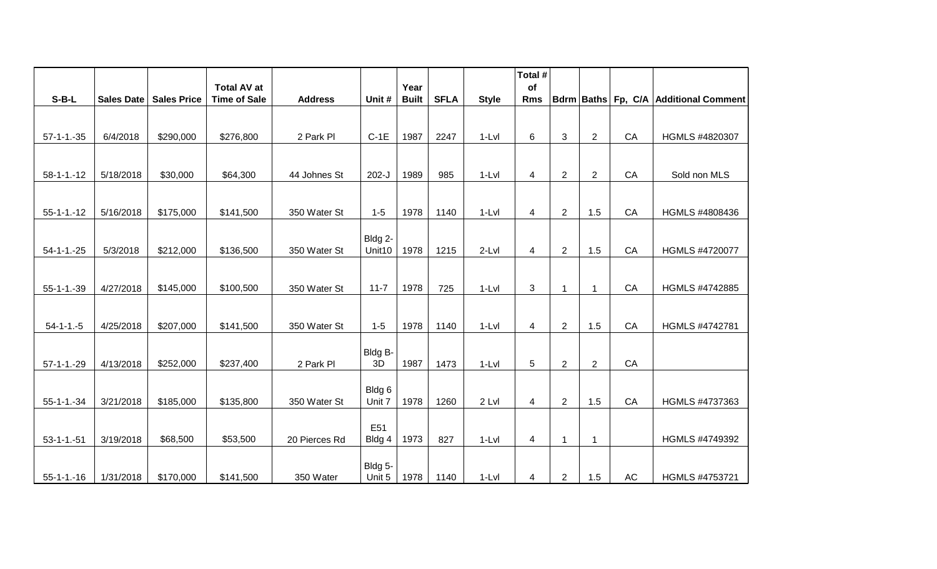|                   |            |                    |                                           |                |                   |                      |             |              | Total #          |                |                |           |                                       |
|-------------------|------------|--------------------|-------------------------------------------|----------------|-------------------|----------------------|-------------|--------------|------------------|----------------|----------------|-----------|---------------------------------------|
| $S-B-L$           | Sales Date | <b>Sales Price</b> | <b>Total AV at</b><br><b>Time of Sale</b> | <b>Address</b> | Unit #            | Year<br><b>Built</b> | <b>SFLA</b> | <b>Style</b> | of<br><b>Rms</b> |                |                |           | Bdrm Baths Fp, C/A Additional Comment |
|                   |            |                    |                                           |                |                   |                      |             |              |                  |                |                |           |                                       |
|                   |            |                    |                                           |                |                   |                      |             |              |                  |                |                |           |                                       |
| $57 - 1 - 1 - 35$ | 6/4/2018   | \$290,000          | \$276,800                                 | 2 Park Pl      | $C-1E$            | 1987                 | 2247        | $1-Lvl$      | 6                | $\mathbf{3}$   | $\overline{2}$ | CA        | HGMLS #4820307                        |
|                   |            |                    |                                           |                |                   |                      |             |              |                  |                |                |           |                                       |
| $58 - 1 - 1 - 12$ | 5/18/2018  | \$30,000           | \$64,300                                  | 44 Johnes St   | $202-J$           | 1989                 | 985         | $1-Lvl$      | 4                | $\overline{2}$ | $\overline{2}$ | CA        | Sold non MLS                          |
|                   |            |                    |                                           |                |                   |                      |             |              |                  |                |                |           |                                       |
|                   |            | \$175,000          |                                           | 350 Water St   | $1 - 5$           | 1978                 |             | $1-Lvl$      |                  |                | 1.5            | CA        | HGMLS #4808436                        |
| $55 - 1 - 1 - 12$ | 5/16/2018  |                    | \$141,500                                 |                |                   |                      | 1140        |              | 4                | $\overline{2}$ |                |           |                                       |
|                   |            |                    |                                           |                | Bldg 2-           |                      |             |              |                  |                |                |           |                                       |
| $54 - 1 - 1 - 25$ | 5/3/2018   | \$212,000          | \$136,500                                 | 350 Water St   | Unit10            | 1978                 | 1215        | $2-Lvl$      | $\overline{4}$   | $\overline{2}$ | 1.5            | CA        | HGMLS #4720077                        |
|                   |            |                    |                                           |                |                   |                      |             |              |                  |                |                |           |                                       |
| $55 - 1 - 1 - 39$ | 4/27/2018  | \$145,000          | \$100,500                                 | 350 Water St   | $11 - 7$          | 1978                 | 725         | $1-Lvl$      | 3                | $\mathbf{1}$   | $\mathbf{1}$   | CA        | HGMLS #4742885                        |
|                   |            |                    |                                           |                |                   |                      |             |              |                  |                |                |           |                                       |
|                   |            |                    |                                           |                |                   |                      |             |              |                  |                |                |           |                                       |
| $54 - 1 - 1 - 5$  | 4/25/2018  | \$207,000          | \$141,500                                 | 350 Water St   | $1 - 5$           | 1978                 | 1140        | $1-Lvl$      | $\overline{4}$   | $\overline{2}$ | 1.5            | CA        | HGMLS #4742781                        |
|                   |            |                    |                                           |                | Bldg B-           |                      |             |              |                  |                |                |           |                                       |
| $57-1-1.-29$      | 4/13/2018  | \$252,000          | \$237,400                                 | 2 Park Pl      | 3D                | 1987                 | 1473        | $1-Lvl$      | 5                | $\overline{2}$ | 2              | CA        |                                       |
|                   |            |                    |                                           |                |                   |                      |             |              |                  |                |                |           |                                       |
|                   |            |                    |                                           |                | Bldg 6            |                      |             |              |                  |                |                |           |                                       |
| $55 - 1 - 1 - 34$ | 3/21/2018  | \$185,000          | \$135,800                                 | 350 Water St   | Unit 7            | 1978                 | 1260        | 2 Lvl        | $\overline{4}$   | $\overline{2}$ | 1.5            | CA        | HGMLS #4737363                        |
|                   |            |                    |                                           |                | E <sub>51</sub>   |                      |             |              |                  |                |                |           |                                       |
| $53 - 1 - 1 - 51$ | 3/19/2018  | \$68,500           | \$53,500                                  | 20 Pierces Rd  | Bldg 4            | 1973                 | 827         | $1-Lvl$      | $\overline{4}$   | $\mathbf 1$    | $\mathbf 1$    |           | HGMLS #4749392                        |
|                   |            |                    |                                           |                |                   |                      |             |              |                  |                |                |           |                                       |
| $55-1-1-16$       | 1/31/2018  | \$170,000          | \$141,500                                 | 350 Water      | Bldg 5-<br>Unit 5 | 1978                 | 1140        | $1-Lvl$      | 4                | $\overline{2}$ | 1.5            | <b>AC</b> | HGMLS #4753721                        |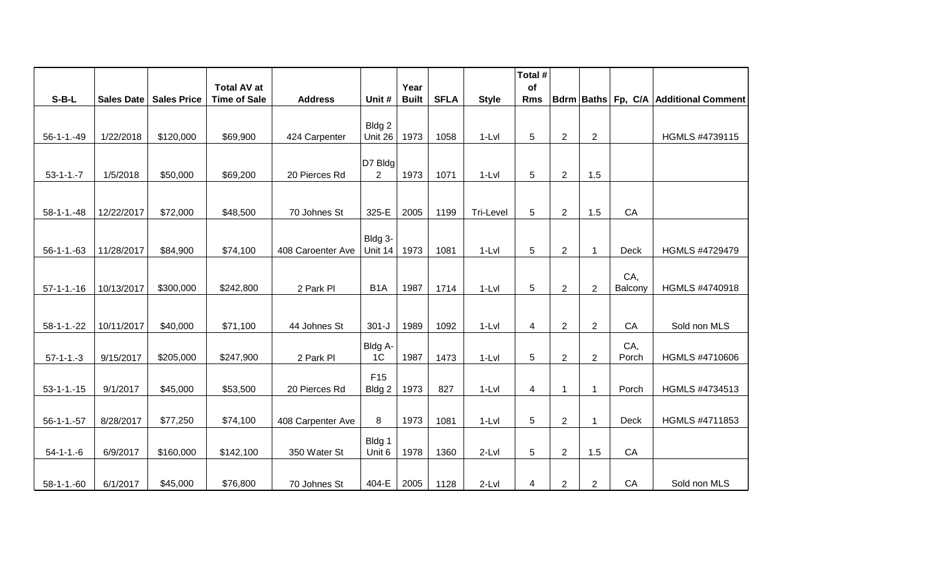|                   |                   |                    |                                           |                   |                  |                      |             |              | Total #          |                |                |                |                                       |
|-------------------|-------------------|--------------------|-------------------------------------------|-------------------|------------------|----------------------|-------------|--------------|------------------|----------------|----------------|----------------|---------------------------------------|
| $S-B-L$           | <b>Sales Date</b> | <b>Sales Price</b> | <b>Total AV at</b><br><b>Time of Sale</b> | <b>Address</b>    | Unit #           | Year<br><b>Built</b> | <b>SFLA</b> | <b>Style</b> | of<br><b>Rms</b> |                |                |                | Bdrm Baths Fp, C/A Additional Comment |
|                   |                   |                    |                                           |                   |                  |                      |             |              |                  |                |                |                |                                       |
|                   |                   |                    |                                           |                   | Bldg 2           |                      |             |              |                  |                |                |                |                                       |
| $56 - 1 - 1 - 49$ | 1/22/2018         | \$120,000          | \$69,900                                  | 424 Carpenter     | Unit 26          | 1973                 | 1058        | $1-Lvl$      | 5                | $\overline{2}$ | $\overline{2}$ |                | HGMLS #4739115                        |
|                   |                   |                    |                                           |                   | $D7$ Bldg        |                      |             |              |                  |                |                |                |                                       |
| $53-1-1.-7$       | 1/5/2018          | \$50,000           | \$69,200                                  | 20 Pierces Rd     | $\overline{2}$   | 1973                 | 1071        | $1-Lvl$      | 5                | $\overline{c}$ | 1.5            |                |                                       |
|                   |                   |                    |                                           |                   |                  |                      |             |              |                  |                |                |                |                                       |
|                   | 12/22/2017        | \$72,000           | \$48,500                                  |                   | 325-E            | 2005                 | 1199        |              | $\sqrt{5}$       | $\overline{2}$ | 1.5            | CA             |                                       |
| $58 - 1 - 1 - 48$ |                   |                    |                                           | 70 Johnes St      |                  |                      |             | Tri-Level    |                  |                |                |                |                                       |
|                   |                   |                    |                                           |                   | Bldg 3-          |                      |             |              |                  |                |                |                |                                       |
| $56 - 1 - 1 - 63$ | 11/28/2017        | \$84,900           | \$74,100                                  | 408 Caroenter Ave | Unit 14          | 1973                 | 1081        | $1-Lvl$      | 5                | $\overline{2}$ | $\mathbf{1}$   | <b>Deck</b>    | HGMLS #4729479                        |
|                   |                   |                    |                                           |                   |                  |                      |             |              |                  |                |                |                |                                       |
| $57-1-1-16$       | 10/13/2017        | \$300,000          | \$242,800                                 | 2 Park Pl         | B <sub>1</sub> A | 1987                 | 1714        | $1-Lvl$      | 5                | $\overline{2}$ | $\overline{2}$ | CA,<br>Balcony | HGMLS #4740918                        |
|                   |                   |                    |                                           |                   |                  |                      |             |              |                  |                |                |                |                                       |
|                   |                   |                    |                                           |                   |                  |                      |             |              |                  |                |                |                |                                       |
| $58 - 1 - 1 - 22$ | 10/11/2017        | \$40,000           | \$71,100                                  | 44 Johnes St      | $301 - J$        | 1989                 | 1092        | $1-Lvl$      | 4                | $\overline{2}$ | $\overline{2}$ | CA             | Sold non MLS                          |
|                   |                   |                    |                                           |                   | Bldg A-          |                      |             |              |                  |                |                | CA,            |                                       |
| $57-1-1-3$        | 9/15/2017         | \$205,000          | \$247,900                                 | 2 Park Pl         | 1 <sup>C</sup>   | 1987                 | 1473        | $1-Lvl$      | 5                | $\overline{2}$ | $\overline{2}$ | Porch          | HGMLS #4710606                        |
|                   |                   |                    |                                           |                   | F <sub>15</sub>  |                      |             |              |                  |                |                |                |                                       |
| $53 - 1 - 1 - 15$ | 9/1/2017          | \$45,000           | \$53,500                                  | 20 Pierces Rd     | Bldg 2           | 1973                 | 827         | $1-Lvl$      | 4                | $\mathbf{1}$   | $\mathbf{1}$   | Porch          | HGMLS #4734513                        |
|                   |                   |                    |                                           |                   |                  |                      |             |              |                  |                |                |                |                                       |
| $56-1-1.-57$      | 8/28/2017         | \$77,250           | \$74,100                                  | 408 Carpenter Ave | 8                | 1973                 | 1081        | 1-Lvl        | 5                | $\overline{2}$ | $\mathbf{1}$   | Deck           | HGMLS #4711853                        |
|                   |                   |                    |                                           |                   | Bldg 1           |                      |             |              |                  |                |                |                |                                       |
| $54 - 1 - 1 - 6$  | 6/9/2017          | \$160,000          | \$142,100                                 | 350 Water St      | Unit 6           | 1978                 | 1360        | $2-Lvl$      | 5                | $\overline{2}$ | 1.5            | CA             |                                       |
|                   |                   |                    |                                           |                   |                  |                      |             |              |                  |                |                |                |                                       |
| $58 - 1 - 1 - 60$ | 6/1/2017          | \$45,000           | \$76,800                                  | 70 Johnes St      | 404-E            | 2005                 | 1128        | 2-Lvl        | 4                | $\overline{2}$ | $\overline{2}$ | CA             | Sold non MLS                          |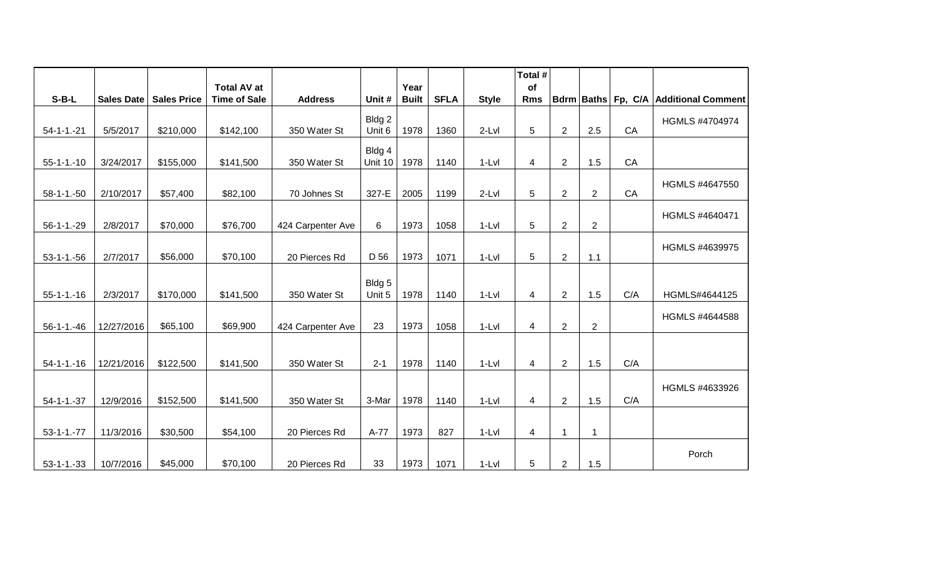|                   |            |                          | <b>Total AV at</b>  |                   |                   | Year         |             |              | Total #<br>of  |                |                |     |                                       |
|-------------------|------------|--------------------------|---------------------|-------------------|-------------------|--------------|-------------|--------------|----------------|----------------|----------------|-----|---------------------------------------|
| $S-B-L$           |            | Sales Date   Sales Price | <b>Time of Sale</b> | <b>Address</b>    | Unit #            | <b>Built</b> | <b>SFLA</b> | <b>Style</b> | <b>Rms</b>     |                |                |     | Bdrm Baths Fp, C/A Additional Comment |
| $54 - 1 - 1 - 21$ | 5/5/2017   | \$210,000                | \$142,100           | 350 Water St      | Bldg 2<br>Unit 6  | 1978         | 1360        | $2-Lvl$      | 5              | 2              | 2.5            | CA  | HGMLS #4704974                        |
| $55-1-1.-10$      | 3/24/2017  | \$155,000                | \$141,500           | 350 Water St      | Bldg 4<br>Unit 10 | 1978         | 1140        | $1-Lvl$      | $\overline{4}$ | 2              | 1.5            | CA  |                                       |
| $58 - 1 - 1 - 50$ | 2/10/2017  | \$57,400                 | \$82,100            | 70 Johnes St      | 327-E             | 2005         | 1199        | $2-Lvl$      | 5              | $\mathbf{2}$   | $\overline{c}$ | CA  | HGMLS #4647550                        |
| $56 - 1 - 1 - 29$ | 2/8/2017   | \$70,000                 | \$76,700            | 424 Carpenter Ave | 6                 | 1973         | 1058        | $1-Lvl$      | 5              | $\overline{2}$ | $\overline{c}$ |     | HGMLS #4640471                        |
| $53 - 1 - 1 - 56$ | 2/7/2017   | \$56,000                 | \$70,100            | 20 Pierces Rd     | D 56              | 1973         | 1071        | $1-Lvl$      | 5              | $\overline{2}$ | 1.1            |     | HGMLS #4639975                        |
| $55 - 1 - 1 - 16$ | 2/3/2017   | \$170,000                | \$141,500           | 350 Water St      | Bldg 5<br>Unit 5  | 1978         | 1140        | $1-Lvl$      | 4              | 2              | 1.5            | C/A | HGMLS#4644125                         |
| $56 - 1 - 1 - 46$ | 12/27/2016 | \$65,100                 | \$69,900            | 424 Carpenter Ave | 23                | 1973         | 1058        | $1-Lvl$      | $\overline{4}$ | $\overline{2}$ | $\overline{2}$ |     | HGMLS #4644588                        |
| $54 - 1 - 1 - 16$ | 12/21/2016 | \$122,500                | \$141,500           | 350 Water St      | $2 - 1$           | 1978         | 1140        | $1-Lvl$      | 4              | $\overline{2}$ | 1.5            | C/A |                                       |
| $54 - 1 - 1 - 37$ | 12/9/2016  | \$152,500                | \$141,500           | 350 Water St      | 3-Mar             | 1978         | 1140        | $1-Lvl$      | $\overline{4}$ | 2              | 1.5            | C/A | HGMLS #4633926                        |
|                   |            |                          |                     |                   |                   |              |             |              |                |                |                |     |                                       |
| $53 - 1 - 1 - 77$ | 11/3/2016  | \$30,500                 | \$54,100            | 20 Pierces Rd     | A-77              | 1973         | 827         | $1-Lvl$      | 4              | $\mathbf{1}$   | $\mathbf 1$    |     |                                       |
| $53 - 1 - 1 - 33$ | 10/7/2016  | \$45,000                 | \$70,100            | 20 Pierces Rd     | 33                | 1973         | 1071        | $1-Lvl$      | 5              | $\overline{2}$ | 1.5            |     | Porch                                 |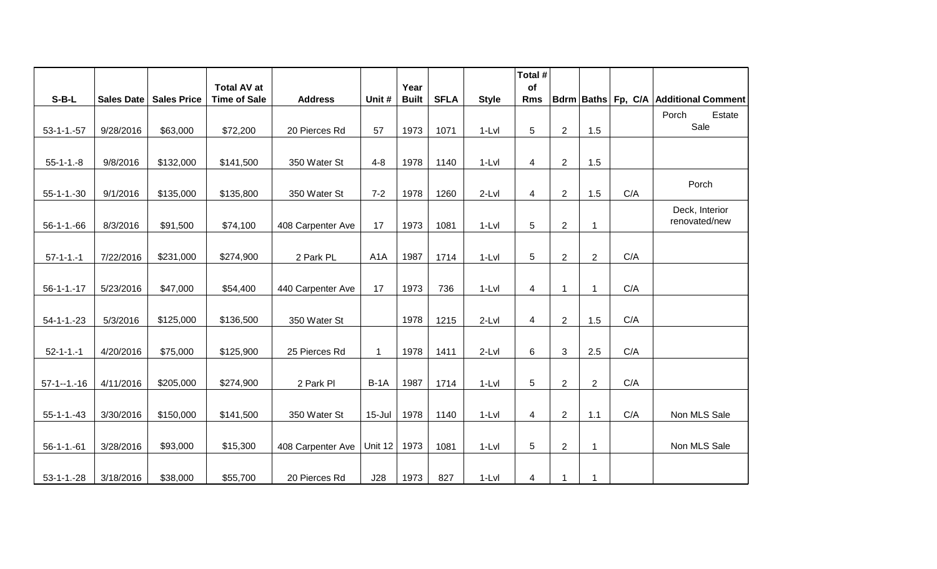|                   |                   |                    | <b>Total AV at</b>  |                   |                  | Year         |             |              | Total #<br>of |                |                         |     |                                              |
|-------------------|-------------------|--------------------|---------------------|-------------------|------------------|--------------|-------------|--------------|---------------|----------------|-------------------------|-----|----------------------------------------------|
| $S-B-L$           | <b>Sales Date</b> | <b>Sales Price</b> | <b>Time of Sale</b> | <b>Address</b>    | Unit #           | <b>Built</b> | <b>SFLA</b> | <b>Style</b> | <b>Rms</b>    |                |                         |     | <b>Bdrm Baths Fp, C/A Additional Comment</b> |
|                   |                   |                    |                     |                   |                  |              |             |              |               |                |                         |     | Porch<br>Estate                              |
| $53 - 1 - 1 - 57$ | 9/28/2016         | \$63,000           | \$72,200            | 20 Pierces Rd     | 57               | 1973         | 1071        | $1-Lvl$      | 5             | $\overline{2}$ | 1.5                     |     | Sale                                         |
|                   |                   |                    |                     |                   |                  |              |             |              |               |                |                         |     |                                              |
| $55-1-1.-8$       | 9/8/2016          | \$132,000          | \$141,500           | 350 Water St      | $4 - 8$          | 1978         | 1140        | $1-Lvl$      | 4             | $\overline{c}$ | 1.5                     |     |                                              |
| $55 - 1 - 1 - 30$ | 9/1/2016          | \$135,000          | \$135,800           | 350 Water St      | $7 - 2$          | 1978         | 1260        | $2-Lvl$      | 4             | $\overline{2}$ | 1.5                     | C/A | Porch                                        |
|                   |                   |                    |                     |                   |                  |              |             |              |               |                |                         |     | Deck, Interior                               |
| $56 - 1 - 1 - 66$ | 8/3/2016          | \$91,500           | \$74,100            | 408 Carpenter Ave | 17               | 1973         | 1081        | $1-Lvl$      | 5             | $\overline{2}$ | $\overline{\mathbf{1}}$ |     | renovated/new                                |
|                   |                   |                    |                     |                   |                  |              |             |              |               |                |                         |     |                                              |
| $57 - 1 - 1 - 1$  | 7/22/2016         | \$231,000          | \$274,900           | 2 Park PL         | A <sub>1</sub> A | 1987         | 1714        | $1-Lvl$      | 5             | $\overline{2}$ | $\overline{c}$          | C/A |                                              |
|                   |                   |                    |                     |                   |                  |              |             |              |               |                |                         |     |                                              |
| $56 - 1 - 1 - 17$ | 5/23/2016         | \$47,000           | \$54,400            | 440 Carpenter Ave | 17               | 1973         | 736         | $1-Lvl$      | 4             | $\mathbf 1$    | $\mathbf 1$             | C/A |                                              |
|                   |                   |                    |                     |                   |                  |              |             |              |               |                |                         |     |                                              |
| $54 - 1 - 1 - 23$ | 5/3/2016          | \$125,000          | \$136,500           | 350 Water St      |                  | 1978         | 1215        | $2-Lvl$      | 4             | $\overline{2}$ | 1.5                     | C/A |                                              |
|                   |                   |                    |                     |                   |                  |              |             |              |               |                |                         |     |                                              |
| $52 - 1 - 1 - 1$  | 4/20/2016         | \$75,000           | \$125,900           | 25 Pierces Rd     | $\mathbf{1}$     | 1978         | 1411        | $2-Lvl$      | 6             | 3              | 2.5                     | C/A |                                              |
|                   |                   |                    |                     |                   |                  |              |             |              |               |                |                         |     |                                              |
| $57 - 1 - 1 - 16$ | 4/11/2016         | \$205,000          | \$274,900           | 2 Park Pl         | $B-1A$           | 1987         | 1714        | $1-Lvl$      | 5             | $\overline{2}$ | $\overline{2}$          | C/A |                                              |
|                   |                   |                    |                     |                   |                  |              |             |              |               |                |                         |     |                                              |
| $55 - 1 - 1 - 43$ | 3/30/2016         | \$150,000          | \$141,500           | 350 Water St      | 15-Jul           | 1978         | 1140        | $1-Lvl$      | 4             | $\overline{2}$ | 1.1                     | C/A | Non MLS Sale                                 |
|                   |                   |                    |                     |                   |                  |              |             |              |               |                |                         |     |                                              |
| $56 - 1 - 1 - 61$ | 3/28/2016         | \$93,000           | \$15,300            | 408 Carpenter Ave | Unit 12          | 1973         | 1081        | $1-Lvl$      | 5             | $\overline{2}$ | $\overline{\mathbf{1}}$ |     | Non MLS Sale                                 |
| $53-1-1.-28$      | 3/18/2016         | \$38,000           | \$55,700            | 20 Pierces Rd     | J28              | 1973         | 827         | $1-Lvl$      | 4             | $\mathbf{1}$   | -1                      |     |                                              |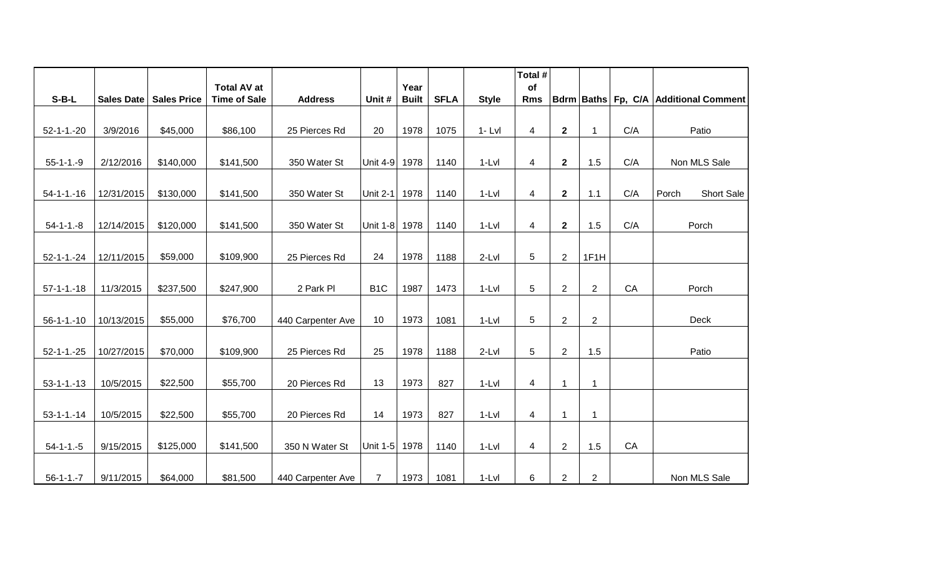|                   |            |                    | <b>Total AV at</b>  |                   |                  | Year         |             |              | Total #<br>of  |                |                |     |                                       |
|-------------------|------------|--------------------|---------------------|-------------------|------------------|--------------|-------------|--------------|----------------|----------------|----------------|-----|---------------------------------------|
| $S-B-L$           | Sales Date | <b>Sales Price</b> | <b>Time of Sale</b> | <b>Address</b>    | Unit #           | <b>Built</b> | <b>SFLA</b> | <b>Style</b> | <b>Rms</b>     |                |                |     | Bdrm Baths Fp, C/A Additional Comment |
|                   |            |                    |                     |                   |                  |              |             |              |                |                |                |     |                                       |
| $52 - 1 - 1 - 20$ | 3/9/2016   | \$45,000           | \$86,100            | 25 Pierces Rd     | 20               | 1978         | 1075        | $1 - Lvl$    | $\overline{4}$ | $\mathbf 2$    | $\mathbf{1}$   | C/A | Patio                                 |
|                   |            |                    |                     |                   |                  |              |             |              |                |                |                |     |                                       |
| $55-1-1.-9$       | 2/12/2016  | \$140,000          | \$141,500           | 350 Water St      | Unit $4-9$       | 1978         | 1140        | $1-Lvl$      | 4              | $\mathbf 2$    | 1.5            | C/A | Non MLS Sale                          |
|                   |            |                    |                     |                   |                  |              |             |              |                |                |                |     |                                       |
| $54 - 1 - 1 - 16$ | 12/31/2015 | \$130,000          | \$141,500           | 350 Water St      | Unit $2-1$       | 1978         | 1140        | $1-Lvl$      | 4              | $\mathbf 2$    | 1.1            | C/A | Porch<br>Short Sale                   |
|                   |            |                    |                     |                   |                  |              |             |              |                |                |                |     |                                       |
| $54 - 1 - 1 - 8$  | 12/14/2015 | \$120,000          | \$141,500           | 350 Water St      | Unit 1-8         | 1978         | 1140        | $1-Lvl$      | $\overline{4}$ | $\mathbf{2}$   | 1.5            | C/A | Porch                                 |
|                   |            |                    |                     |                   |                  |              |             |              |                |                |                |     |                                       |
| $52 - 1 - 1 - 24$ | 12/11/2015 | \$59,000           | \$109,900           | 25 Pierces Rd     | 24               | 1978         | 1188        | $2-Lvl$      | 5              | $\overline{2}$ | 1F1H           |     |                                       |
|                   |            |                    |                     |                   |                  |              |             |              |                |                |                |     |                                       |
| $57-1-1-18$       | 11/3/2015  | \$237,500          | \$247,900           | 2 Park Pl         | B <sub>1</sub> C | 1987         | 1473        | $1-Lvl$      | 5              | $\overline{2}$ | $\overline{2}$ | CA  | Porch                                 |
|                   |            |                    |                     |                   |                  |              |             |              |                |                |                |     |                                       |
| $56 - 1 - 1 - 10$ | 10/13/2015 | \$55,000           | \$76,700            | 440 Carpenter Ave | 10               | 1973         | 1081        | $1-Lvl$      | 5              | $\overline{2}$ | $\overline{2}$ |     | Deck                                  |
|                   |            |                    |                     |                   | 25               | 1978         |             |              | 5              |                |                |     | Patio                                 |
| $52 - 1 - 1 - 25$ | 10/27/2015 | \$70,000           | \$109,900           | 25 Pierces Rd     |                  |              | 1188        | $2-Lvl$      |                | $\overline{2}$ | 1.5            |     |                                       |
| $53 - 1 - 1 - 13$ | 10/5/2015  | \$22,500           | \$55,700            | 20 Pierces Rd     | 13               | 1973         | 827         | $1-Lvl$      | $\overline{4}$ | 1              | $\mathbf 1$    |     |                                       |
|                   |            |                    |                     |                   |                  |              |             |              |                |                |                |     |                                       |
| $53 - 1 - 1 - 14$ | 10/5/2015  | \$22,500           | \$55,700            | 20 Pierces Rd     | 14               | 1973         | 827         | $1-Lvl$      | 4              | 1              | 1              |     |                                       |
|                   |            |                    |                     |                   |                  |              |             |              |                |                |                |     |                                       |
| $54 - 1 - 1 - 5$  | 9/15/2015  | \$125,000          | \$141,500           | 350 N Water St    | Unit $1-5$       | 1978         | 1140        | $1-Lvl$      | $\overline{4}$ | $\overline{2}$ | 1.5            | CA  |                                       |
|                   |            |                    |                     |                   |                  |              |             |              |                |                |                |     |                                       |
| $56 - 1 - 1 - 7$  | 9/11/2015  | \$64,000           | \$81,500            | 440 Carpenter Ave | $7^{\circ}$      | 1973         | 1081        | $1-Lvl$      | 6              | $\overline{2}$ | $\overline{c}$ |     | Non MLS Sale                          |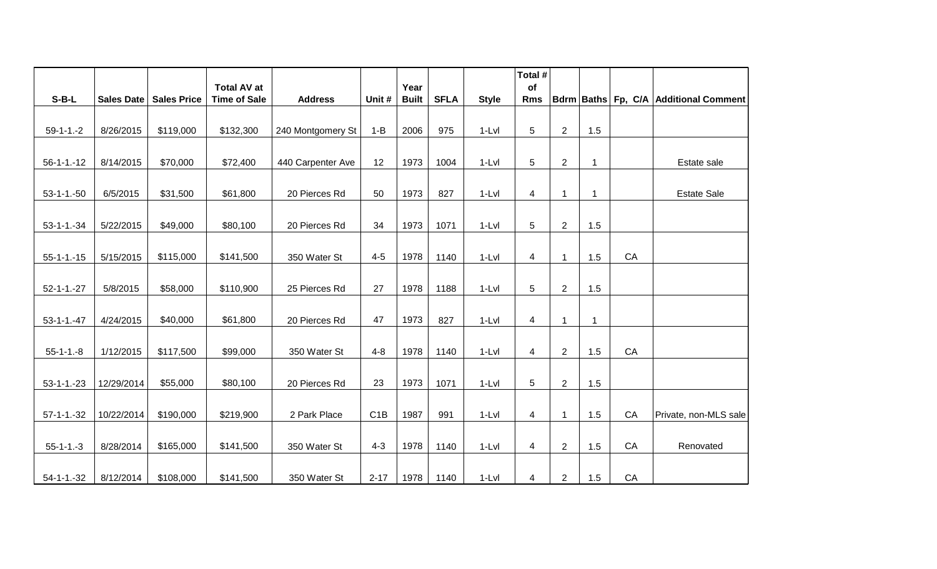|                   |            |                    | <b>Total AV at</b>  |                   |                  | Year         |             |              | Total #<br>of  |                |              |    |                                       |
|-------------------|------------|--------------------|---------------------|-------------------|------------------|--------------|-------------|--------------|----------------|----------------|--------------|----|---------------------------------------|
| $S-B-L$           | Sales Date | <b>Sales Price</b> | <b>Time of Sale</b> | <b>Address</b>    | Unit #           | <b>Built</b> | <b>SFLA</b> | <b>Style</b> | <b>Rms</b>     |                |              |    | Bdrm Baths Fp, C/A Additional Comment |
|                   |            |                    |                     |                   |                  |              |             |              |                |                |              |    |                                       |
| $59-1-1.-2$       | 8/26/2015  | \$119,000          | \$132,300           | 240 Montgomery St | $1 - B$          | 2006         | 975         | $1-Lvl$      | 5              | $\overline{2}$ | 1.5          |    |                                       |
|                   |            |                    |                     |                   |                  |              |             |              |                |                |              |    |                                       |
| $56 - 1 - 1 - 12$ | 8/14/2015  | \$70,000           | \$72,400            | 440 Carpenter Ave | 12               | 1973         | 1004        | $1-Lvl$      | 5              | $\overline{c}$ | -1           |    | Estate sale                           |
|                   |            |                    |                     |                   |                  |              |             |              |                |                |              |    |                                       |
| $53-1-1.-50$      | 6/5/2015   | \$31,500           | \$61,800            | 20 Pierces Rd     | 50               | 1973         | 827         | $1-Lvl$      | $\overline{4}$ | 1              | -1           |    | <b>Estate Sale</b>                    |
|                   |            |                    |                     |                   |                  |              |             |              |                |                |              |    |                                       |
| $53 - 1 - 1 - 34$ | 5/22/2015  | \$49,000           | \$80,100            | 20 Pierces Rd     | 34               | 1973         | 1071        | $1-Lvl$      | 5              | $\overline{2}$ | 1.5          |    |                                       |
|                   |            |                    |                     |                   |                  |              |             |              |                |                |              |    |                                       |
| $55 - 1 - 1 - 15$ | 5/15/2015  | \$115,000          | \$141,500           | 350 Water St      | $4 - 5$          | 1978         | 1140        | $1-Lvl$      | 4              | $\mathbf{1}$   | 1.5          | CA |                                       |
|                   |            |                    |                     |                   |                  |              |             |              |                |                |              |    |                                       |
| $52 - 1 - 1 - 27$ | 5/8/2015   | \$58,000           | \$110,900           | 25 Pierces Rd     | 27               | 1978         | 1188        | $1-Lvl$      | 5              | $\overline{2}$ | 1.5          |    |                                       |
|                   |            |                    |                     |                   |                  |              |             |              |                |                |              |    |                                       |
| $53 - 1 - 1 - 47$ | 4/24/2015  | \$40,000           | \$61,800            | 20 Pierces Rd     | 47               | 1973         | 827         | $1-Lvl$      | $\overline{4}$ | $\mathbf{1}$   | $\mathbf{1}$ |    |                                       |
|                   |            |                    |                     |                   |                  |              |             |              |                |                |              |    |                                       |
| $55 - 1 - 1 - 8$  | 1/12/2015  | \$117,500          | \$99,000            | 350 Water St      | $4 - 8$          | 1978         | 1140        | $1-Lvl$      | $\overline{4}$ | $\overline{2}$ | 1.5          | CA |                                       |
|                   |            |                    |                     |                   |                  |              |             |              |                |                |              |    |                                       |
| $53 - 1 - 1 - 23$ | 12/29/2014 | \$55,000           | \$80,100            | 20 Pierces Rd     | 23               | 1973         | 1071        | $1-Lvl$      | 5              | $\overline{2}$ | 1.5          |    |                                       |
|                   |            |                    |                     |                   |                  |              |             |              |                |                |              |    |                                       |
| $57-1-1.-32$      | 10/22/2014 | \$190,000          | \$219,900           | 2 Park Place      | C <sub>1</sub> B | 1987         | 991         | $1-Lvl$      | $\overline{4}$ | $\mathbf{1}$   | 1.5          | CA | Private, non-MLS sale                 |
|                   |            |                    |                     |                   |                  |              |             |              |                |                |              |    |                                       |
| $55 - 1 - 1 - 3$  | 8/28/2014  | \$165,000          | \$141,500           | 350 Water St      | $4 - 3$          | 1978         | 1140        | $1-Lvl$      | 4              | $\overline{2}$ | 1.5          | CA | Renovated                             |
|                   |            |                    |                     |                   |                  |              |             |              |                |                |              |    |                                       |
| $54 - 1 - 32$     | 8/12/2014  | \$108,000          | \$141,500           | 350 Water St      | $2 - 17$         | 1978         | 1140        | $1-Lvl$      | 4              | $\overline{2}$ | 1.5          | CA |                                       |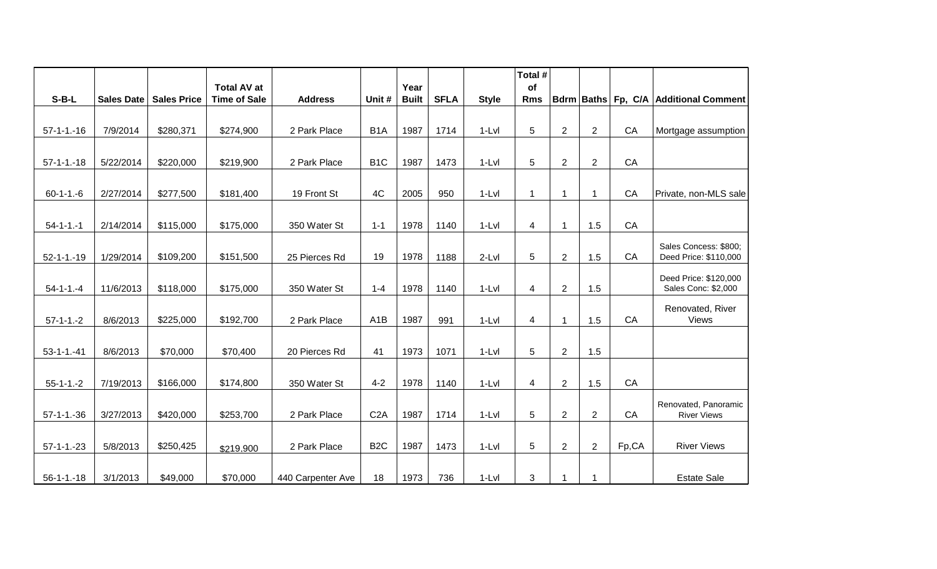|                   |                   |                    | <b>Total AV at</b>  |                   |                  | Year         |             |              | Total #<br>of   |                |                |       |                                              |
|-------------------|-------------------|--------------------|---------------------|-------------------|------------------|--------------|-------------|--------------|-----------------|----------------|----------------|-------|----------------------------------------------|
| $S-B-L$           | <b>Sales Date</b> | <b>Sales Price</b> | <b>Time of Sale</b> | <b>Address</b>    | Unit #           | <b>Built</b> | <b>SFLA</b> | <b>Style</b> | <b>Rms</b>      |                |                |       | Bdrm Baths Fp, C/A Additional Comment        |
|                   |                   |                    |                     |                   |                  |              |             |              |                 |                |                |       |                                              |
| $57-1-1-16$       | 7/9/2014          | \$280,371          | \$274,900           | 2 Park Place      | B <sub>1</sub> A | 1987         | 1714        | $1-Lvl$      | $\sqrt{5}$      | $\overline{2}$ | $\overline{2}$ | CA    | Mortgage assumption                          |
|                   |                   |                    |                     |                   |                  |              |             |              |                 |                |                |       |                                              |
| $57 - 1 - 1 - 18$ | 5/22/2014         | \$220,000          | \$219,900           | 2 Park Place      | B <sub>1</sub> C | 1987         | 1473        | $1-Lvl$      | 5               | $\overline{2}$ | $\overline{2}$ | CA    |                                              |
|                   |                   |                    |                     |                   |                  |              |             |              |                 |                |                |       |                                              |
| $60 - 1 - 1 - 6$  | 2/27/2014         | \$277,500          | \$181,400           | 19 Front St       | 4C               | 2005         | 950         | $1-Lvl$      | 1               | $\mathbf{1}$   | 1              | CA    | Private, non-MLS sale                        |
|                   |                   |                    |                     |                   |                  |              |             |              |                 |                |                |       |                                              |
| $54 - 1 - 1 - 1$  | 2/14/2014         | \$115,000          | \$175,000           | 350 Water St      | $1 - 1$          | 1978         | 1140        | $1-Lvl$      | $\overline{4}$  | $\mathbf{1}$   | 1.5            | CA    |                                              |
|                   |                   |                    |                     |                   |                  |              |             |              |                 |                |                |       | Sales Concess: \$800;                        |
| $52 - 1 - 1 - 19$ | 1/29/2014         | \$109,200          | \$151,500           | 25 Pierces Rd     | 19               | 1978         | 1188        | $2-Lvl$      | $5\phantom{.0}$ | $\sqrt{2}$     | 1.5            | CA    | Deed Price: \$110,000                        |
| $54 - 1 - 1 - 4$  | 11/6/2013         | \$118,000          | \$175,000           | 350 Water St      | $1 - 4$          | 1978         | 1140        | $1-Lvl$      | 4               | $\overline{2}$ | 1.5            |       | Deed Price: \$120,000<br>Sales Conc: \$2,000 |
|                   |                   |                    |                     |                   |                  |              |             |              |                 |                |                |       |                                              |
| $57-1-1.-2$       | 8/6/2013          | \$225,000          | \$192,700           | 2 Park Place      | A <sub>1</sub> B | 1987         | 991         | $1-Lvl$      | 4               | $\overline{1}$ | 1.5            | CA    | Renovated, River<br>Views                    |
|                   |                   |                    |                     |                   |                  |              |             |              |                 |                |                |       |                                              |
| $53 - 1 - 1 - 41$ | 8/6/2013          | \$70,000           | \$70,400            | 20 Pierces Rd     | 41               | 1973         | 1071        | $1-Lvl$      | 5               | $\overline{2}$ | 1.5            |       |                                              |
|                   |                   |                    |                     |                   |                  |              |             |              |                 |                |                |       |                                              |
| $55 - 1 - 1 - 2$  | 7/19/2013         | \$166,000          | \$174,800           | 350 Water St      | $4 - 2$          | 1978         | 1140        | $1-Lvl$      | 4               | $\overline{2}$ | 1.5            | CA    |                                              |
|                   |                   |                    |                     |                   |                  |              |             |              |                 |                |                |       | Renovated, Panoramic                         |
| $57 - 1 - 1 - 36$ | 3/27/2013         | \$420,000          | \$253,700           | 2 Park Place      | C2A              | 1987         | 1714        | $1-Lvl$      | 5               | $\overline{2}$ | $\overline{c}$ | CA    | <b>River Views</b>                           |
|                   |                   |                    |                     |                   |                  |              |             |              |                 |                |                |       |                                              |
| $57-1-1.-23$      | 5/8/2013          | \$250,425          | \$219,900           | 2 Park Place      | B <sub>2</sub> C | 1987         | 1473        | $1-Lvl$      | 5               | $\overline{2}$ | $\overline{2}$ | Fp,CA | <b>River Views</b>                           |
|                   |                   |                    |                     |                   |                  |              |             |              |                 |                |                |       |                                              |
| $56 - 1 - 1 - 18$ | 3/1/2013          | \$49,000           | \$70,000            | 440 Carpenter Ave | 18               | 1973         | 736         | $1-Lvl$      | 3               | 1              | $\mathbf 1$    |       | <b>Estate Sale</b>                           |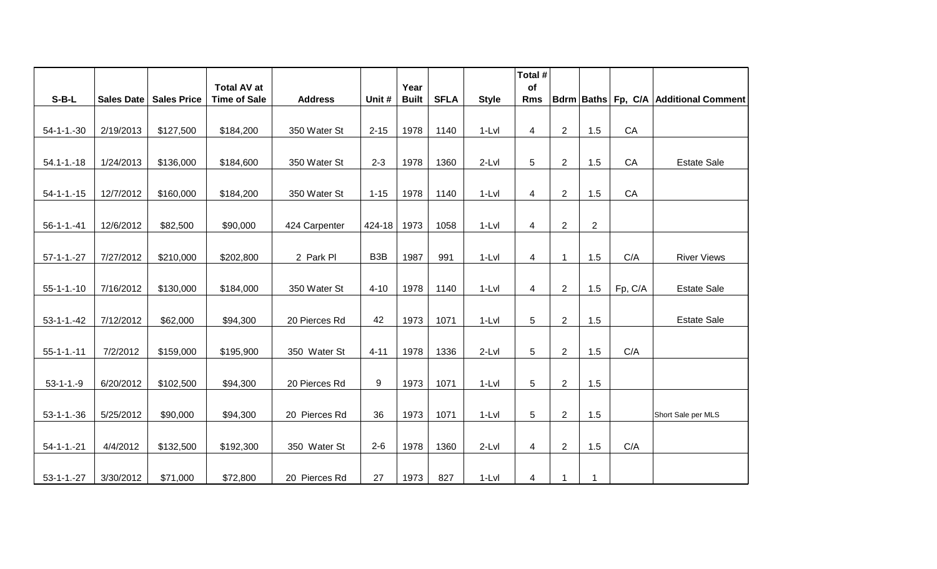|                   |            |                    |                                           |                |                  |                      |             |              | Total #          |                |                |         |                                       |
|-------------------|------------|--------------------|-------------------------------------------|----------------|------------------|----------------------|-------------|--------------|------------------|----------------|----------------|---------|---------------------------------------|
| $S-B-L$           | Sales Date | <b>Sales Price</b> | <b>Total AV at</b><br><b>Time of Sale</b> | <b>Address</b> | Unit #           | Year<br><b>Built</b> | <b>SFLA</b> | <b>Style</b> | of<br><b>Rms</b> |                |                |         | Bdrm Baths Fp, C/A Additional Comment |
|                   |            |                    |                                           |                |                  |                      |             |              |                  |                |                |         |                                       |
| $54 - 1 - 1 - 30$ | 2/19/2013  | \$127,500          | \$184,200                                 | 350 Water St   | $2 - 15$         | 1978                 | 1140        | $1-Lvl$      | 4                | $\overline{c}$ | 1.5            | CA      |                                       |
|                   |            |                    |                                           |                |                  |                      |             |              |                  |                |                |         |                                       |
| $54.1 - 1 - 18$   | 1/24/2013  | \$136,000          | \$184,600                                 | 350 Water St   | $2 - 3$          | 1978                 | 1360        | $2-Lvl$      | 5                | $\overline{2}$ | 1.5            | CA      | <b>Estate Sale</b>                    |
|                   |            |                    |                                           |                |                  |                      |             |              |                  |                |                |         |                                       |
| $54 - 1 - 1 - 15$ | 12/7/2012  | \$160,000          | \$184,200                                 | 350 Water St   | $1 - 15$         | 1978                 | 1140        | $1-Lvl$      | 4                | $\overline{2}$ | 1.5            | CA      |                                       |
|                   |            |                    |                                           |                |                  |                      |             |              |                  |                |                |         |                                       |
| $56 - 1 - 1 - 41$ | 12/6/2012  | \$82,500           | \$90,000                                  | 424 Carpenter  | $424 - 18$       | 1973                 | 1058        | $1-Lvl$      | $\overline{4}$   | $\overline{2}$ | $\overline{2}$ |         |                                       |
|                   |            |                    |                                           |                |                  |                      |             |              |                  |                |                |         |                                       |
| $57-1-1.-27$      | 7/27/2012  | \$210,000          | \$202,800                                 | 2 Park PI      | B <sub>3</sub> B | 1987                 | 991         | $1-Lvl$      | 4                | $\mathbf{1}$   | 1.5            | C/A     | <b>River Views</b>                    |
| $55 - 1 - 1 - 10$ | 7/16/2012  | \$130,000          | \$184,000                                 | 350 Water St   | $4 - 10$         | 1978                 | 1140        | $1-Lvl$      | $\overline{4}$   | $\overline{2}$ | 1.5            | Fp, C/A | <b>Estate Sale</b>                    |
|                   |            |                    |                                           |                |                  |                      |             |              |                  |                |                |         |                                       |
| $53 - 1 - 1 - 42$ | 7/12/2012  | \$62,000           | \$94,300                                  | 20 Pierces Rd  | 42               | 1973                 | 1071        | $1-Lvl$      | 5                | $\overline{2}$ | 1.5            |         | <b>Estate Sale</b>                    |
|                   |            |                    |                                           |                |                  |                      |             |              |                  |                |                |         |                                       |
| $55 - 1 - 1 - 11$ | 7/2/2012   | \$159,000          | \$195,900                                 | 350 Water St   | $4 - 11$         | 1978                 | 1336        | $2-Lvl$      | 5                | $\mathbf{2}$   | 1.5            | C/A     |                                       |
|                   |            |                    |                                           |                |                  |                      |             |              |                  |                |                |         |                                       |
| $53 - 1 - 1 - 9$  | 6/20/2012  | \$102,500          | \$94,300                                  | 20 Pierces Rd  | 9                | 1973                 | 1071        | $1-Lvl$      | $\overline{5}$   | $\overline{2}$ | 1.5            |         |                                       |
|                   |            |                    |                                           |                |                  |                      |             |              |                  |                |                |         |                                       |
| $53 - 1 - 1 - 36$ | 5/25/2012  | \$90,000           | \$94,300                                  | 20 Pierces Rd  | 36               | 1973                 | 1071        | $1-Lvl$      | $\sqrt{5}$       | $\overline{2}$ | 1.5            |         | Short Sale per MLS                    |
|                   |            |                    |                                           |                |                  |                      |             |              |                  |                |                |         |                                       |
| $54 - 1 - 1 - 21$ | 4/4/2012   | \$132,500          | \$192,300                                 | 350 Water St   | $2 - 6$          | 1978                 | 1360        | $2-Lvl$      | $\overline{4}$   | $\overline{2}$ | 1.5            | C/A     |                                       |
| $53 - 1 - 1 - 27$ | 3/30/2012  | \$71,000           | \$72,800                                  | 20 Pierces Rd  | 27               | 1973                 | 827         | $1-Lvl$      | $\overline{4}$   | $\mathbf{1}$   | $\mathbf{1}$   |         |                                       |